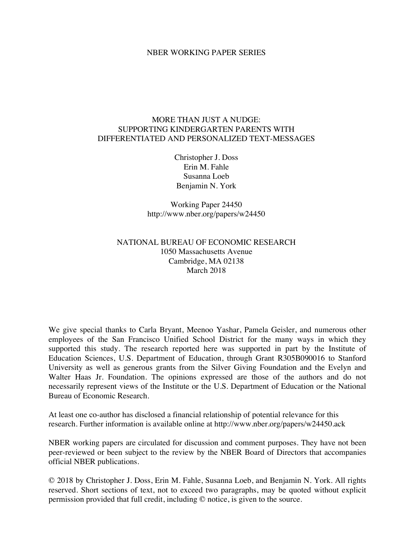#### NBER WORKING PAPER SERIES

# MORE THAN JUST A NUDGE: SUPPORTING KINDERGARTEN PARENTS WITH DIFFERENTIATED AND PERSONALIZED TEXT-MESSAGES

Christopher J. Doss Erin M. Fahle Susanna Loeb Benjamin N. York

Working Paper 24450 http://www.nber.org/papers/w24450

# NATIONAL BUREAU OF ECONOMIC RESEARCH 1050 Massachusetts Avenue Cambridge, MA 02138 March 2018

We give special thanks to Carla Bryant, Meenoo Yashar, Pamela Geisler, and numerous other employees of the San Francisco Unified School District for the many ways in which they supported this study. The research reported here was supported in part by the Institute of Education Sciences, U.S. Department of Education, through Grant R305B090016 to Stanford University as well as generous grants from the Silver Giving Foundation and the Evelyn and Walter Haas Jr. Foundation. The opinions expressed are those of the authors and do not necessarily represent views of the Institute or the U.S. Department of Education or the National Bureau of Economic Research.

At least one co-author has disclosed a financial relationship of potential relevance for this research. Further information is available online at http://www.nber.org/papers/w24450.ack

NBER working papers are circulated for discussion and comment purposes. They have not been peer-reviewed or been subject to the review by the NBER Board of Directors that accompanies official NBER publications.

© 2018 by Christopher J. Doss, Erin M. Fahle, Susanna Loeb, and Benjamin N. York. All rights reserved. Short sections of text, not to exceed two paragraphs, may be quoted without explicit permission provided that full credit, including © notice, is given to the source.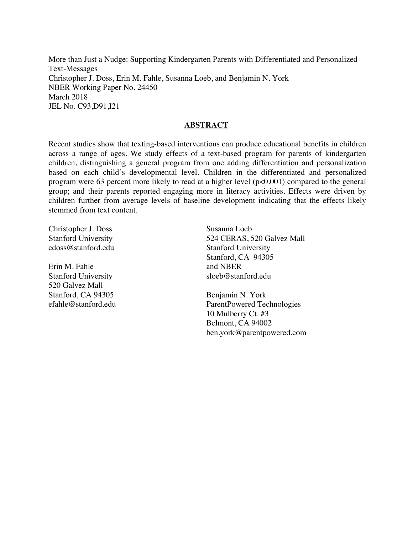More than Just a Nudge: Supporting Kindergarten Parents with Differentiated and Personalized Text-Messages Christopher J. Doss, Erin M. Fahle, Susanna Loeb, and Benjamin N. York NBER Working Paper No. 24450 March 2018 JEL No. C93,D91,I21

# **ABSTRACT**

Recent studies show that texting-based interventions can produce educational benefits in children across a range of ages. We study effects of a text-based program for parents of kindergarten children, distinguishing a general program from one adding differentiation and personalization based on each child's developmental level. Children in the differentiated and personalized program were 63 percent more likely to read at a higher level (p<0.001) compared to the general group; and their parents reported engaging more in literacy activities. Effects were driven by children further from average levels of baseline development indicating that the effects likely stemmed from text content.

Christopher J. Doss Stanford University cdoss@stanford.edu

Erin M. Fahle Stanford University 520 Galvez Mall Stanford, CA 94305 efahle@stanford.edu Susanna Loeb 524 CERAS, 520 Galvez Mall Stanford University Stanford, CA 94305 and NBER sloeb@stanford.edu

Benjamin N. York ParentPowered Technologies 10 Mulberry Ct. #3 Belmont, CA 94002 ben.york@parentpowered.com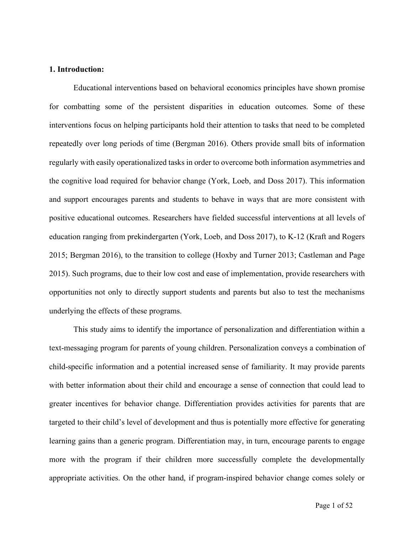#### **1. Introduction:**

Educational interventions based on behavioral economics principles have shown promise for combatting some of the persistent disparities in education outcomes. Some of these interventions focus on helping participants hold their attention to tasks that need to be completed repeatedly over long periods of time (Bergman 2016). Others provide small bits of information regularly with easily operationalized tasks in order to overcome both information asymmetries and the cognitive load required for behavior change (York, Loeb, and Doss 2017). This information and support encourages parents and students to behave in ways that are more consistent with positive educational outcomes. Researchers have fielded successful interventions at all levels of education ranging from prekindergarten (York, Loeb, and Doss 2017), to K-12 (Kraft and Rogers 2015; Bergman 2016), to the transition to college (Hoxby and Turner 2013; Castleman and Page 2015). Such programs, due to their low cost and ease of implementation, provide researchers with opportunities not only to directly support students and parents but also to test the mechanisms underlying the effects of these programs.

This study aims to identify the importance of personalization and differentiation within a text-messaging program for parents of young children. Personalization conveys a combination of child-specific information and a potential increased sense of familiarity. It may provide parents with better information about their child and encourage a sense of connection that could lead to greater incentives for behavior change. Differentiation provides activities for parents that are targeted to their child's level of development and thus is potentially more effective for generating learning gains than a generic program. Differentiation may, in turn, encourage parents to engage more with the program if their children more successfully complete the developmentally appropriate activities. On the other hand, if program-inspired behavior change comes solely or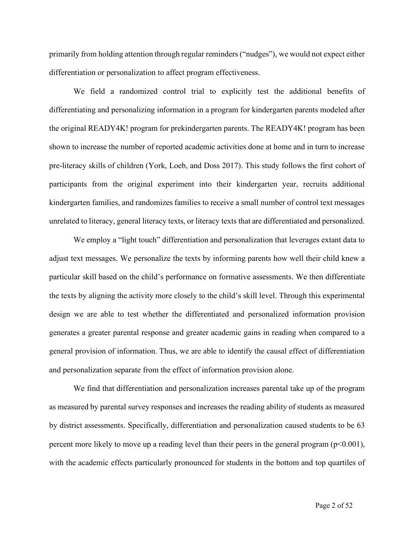primarily from holding attention through regular reminders ("nudges"), we would not expect either differentiation or personalization to affect program effectiveness.

We field a randomized control trial to explicitly test the additional benefits of differentiating and personalizing information in a program for kindergarten parents modeled after the original READY4K! program for prekindergarten parents. The READY4K! program has been shown to increase the number of reported academic activities done at home and in turn to increase pre-literacy skills of children (York, Loeb, and Doss 2017). This study follows the first cohort of participants from the original experiment into their kindergarten year, recruits additional kindergarten families, and randomizes families to receive a small number of control text messages unrelated to literacy, general literacy texts, or literacy texts that are differentiated and personalized.

We employ a "light touch" differentiation and personalization that leverages extant data to adjust text messages. We personalize the texts by informing parents how well their child knew a particular skill based on the child's performance on formative assessments. We then differentiate the texts by aligning the activity more closely to the child's skill level. Through this experimental design we are able to test whether the differentiated and personalized information provision generates a greater parental response and greater academic gains in reading when compared to a general provision of information. Thus, we are able to identify the causal effect of differentiation and personalization separate from the effect of information provision alone.

We find that differentiation and personalization increases parental take up of the program as measured by parental survey responses and increases the reading ability of students as measured by district assessments. Specifically, differentiation and personalization caused students to be 63 percent more likely to move up a reading level than their peers in the general program ( $p<0.001$ ), with the academic effects particularly pronounced for students in the bottom and top quartiles of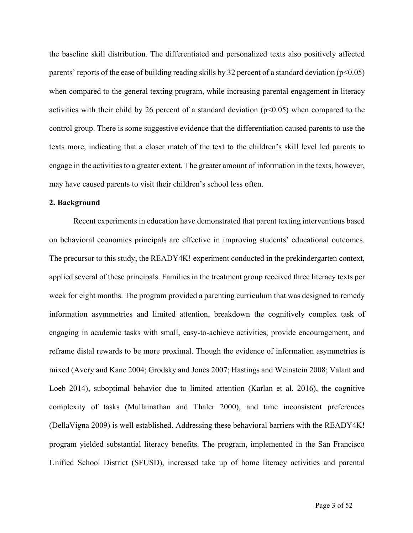the baseline skill distribution. The differentiated and personalized texts also positively affected parents' reports of the ease of building reading skills by 32 percent of a standard deviation ( $p<0.05$ ) when compared to the general texting program, while increasing parental engagement in literacy activities with their child by 26 percent of a standard deviation  $(p<0.05)$  when compared to the control group. There is some suggestive evidence that the differentiation caused parents to use the texts more, indicating that a closer match of the text to the children's skill level led parents to engage in the activities to a greater extent. The greater amount of information in the texts, however, may have caused parents to visit their children's school less often.

# **2. Background**

Recent experiments in education have demonstrated that parent texting interventions based on behavioral economics principals are effective in improving students' educational outcomes. The precursor to this study, the READY4K! experiment conducted in the prekindergarten context, applied several of these principals. Families in the treatment group received three literacy texts per week for eight months. The program provided a parenting curriculum that was designed to remedy information asymmetries and limited attention, breakdown the cognitively complex task of engaging in academic tasks with small, easy-to-achieve activities, provide encouragement, and reframe distal rewards to be more proximal. Though the evidence of information asymmetries is mixed (Avery and Kane 2004; Grodsky and Jones 2007; Hastings and Weinstein 2008; Valant and Loeb 2014), suboptimal behavior due to limited attention (Karlan et al. 2016), the cognitive complexity of tasks (Mullainathan and Thaler 2000), and time inconsistent preferences (DellaVigna 2009) is well established. Addressing these behavioral barriers with the READY4K! program yielded substantial literacy benefits. The program, implemented in the San Francisco Unified School District (SFUSD), increased take up of home literacy activities and parental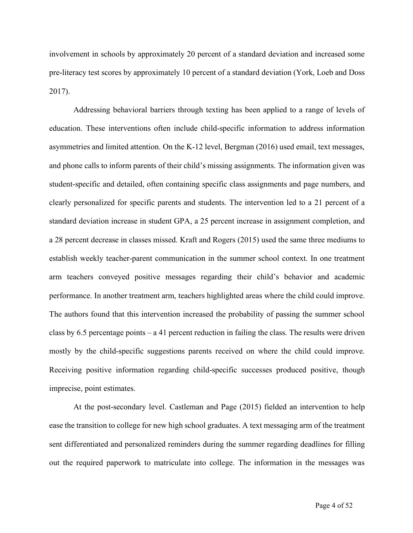involvement in schools by approximately 20 percent of a standard deviation and increased some pre-literacy test scores by approximately 10 percent of a standard deviation (York, Loeb and Doss 2017).

Addressing behavioral barriers through texting has been applied to a range of levels of education. These interventions often include child-specific information to address information asymmetries and limited attention. On the K-12 level, Bergman (2016) used email, text messages, and phone calls to inform parents of their child's missing assignments. The information given was student-specific and detailed, often containing specific class assignments and page numbers, and clearly personalized for specific parents and students. The intervention led to a 21 percent of a standard deviation increase in student GPA, a 25 percent increase in assignment completion, and a 28 percent decrease in classes missed. Kraft and Rogers (2015) used the same three mediums to establish weekly teacher-parent communication in the summer school context. In one treatment arm teachers conveyed positive messages regarding their child's behavior and academic performance. In another treatment arm, teachers highlighted areas where the child could improve. The authors found that this intervention increased the probability of passing the summer school class by 6.5 percentage points – a 41 percent reduction in failing the class. The results were driven mostly by the child-specific suggestions parents received on where the child could improve. Receiving positive information regarding child-specific successes produced positive, though imprecise, point estimates.

At the post-secondary level. Castleman and Page (2015) fielded an intervention to help ease the transition to college for new high school graduates. A text messaging arm of the treatment sent differentiated and personalized reminders during the summer regarding deadlines for filling out the required paperwork to matriculate into college. The information in the messages was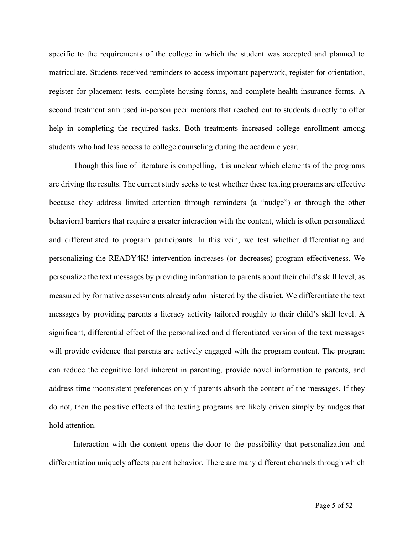specific to the requirements of the college in which the student was accepted and planned to matriculate. Students received reminders to access important paperwork, register for orientation, register for placement tests, complete housing forms, and complete health insurance forms. A second treatment arm used in-person peer mentors that reached out to students directly to offer help in completing the required tasks. Both treatments increased college enrollment among students who had less access to college counseling during the academic year.

Though this line of literature is compelling, it is unclear which elements of the programs are driving the results. The current study seeks to test whether these texting programs are effective because they address limited attention through reminders (a "nudge") or through the other behavioral barriers that require a greater interaction with the content, which is often personalized and differentiated to program participants. In this vein, we test whether differentiating and personalizing the READY4K! intervention increases (or decreases) program effectiveness. We personalize the text messages by providing information to parents about their child's skill level, as measured by formative assessments already administered by the district. We differentiate the text messages by providing parents a literacy activity tailored roughly to their child's skill level. A significant, differential effect of the personalized and differentiated version of the text messages will provide evidence that parents are actively engaged with the program content. The program can reduce the cognitive load inherent in parenting, provide novel information to parents, and address time-inconsistent preferences only if parents absorb the content of the messages. If they do not, then the positive effects of the texting programs are likely driven simply by nudges that hold attention.

Interaction with the content opens the door to the possibility that personalization and differentiation uniquely affects parent behavior. There are many different channels through which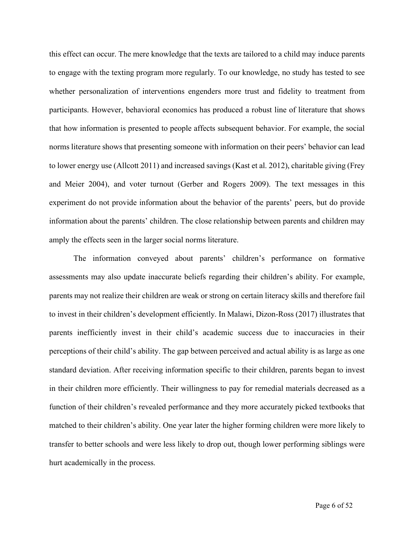this effect can occur. The mere knowledge that the texts are tailored to a child may induce parents to engage with the texting program more regularly. To our knowledge, no study has tested to see whether personalization of interventions engenders more trust and fidelity to treatment from participants. However, behavioral economics has produced a robust line of literature that shows that how information is presented to people affects subsequent behavior. For example, the social norms literature shows that presenting someone with information on their peers' behavior can lead to lower energy use (Allcott 2011) and increased savings (Kast et al. 2012), charitable giving (Frey and Meier 2004), and voter turnout (Gerber and Rogers 2009). The text messages in this experiment do not provide information about the behavior of the parents' peers, but do provide information about the parents' children. The close relationship between parents and children may amply the effects seen in the larger social norms literature.

The information conveyed about parents' children's performance on formative assessments may also update inaccurate beliefs regarding their children's ability. For example, parents may not realize their children are weak or strong on certain literacy skills and therefore fail to invest in their children's development efficiently. In Malawi, Dizon-Ross (2017) illustrates that parents inefficiently invest in their child's academic success due to inaccuracies in their perceptions of their child's ability. The gap between perceived and actual ability is as large as one standard deviation. After receiving information specific to their children, parents began to invest in their children more efficiently. Their willingness to pay for remedial materials decreased as a function of their children's revealed performance and they more accurately picked textbooks that matched to their children's ability. One year later the higher forming children were more likely to transfer to better schools and were less likely to drop out, though lower performing siblings were hurt academically in the process.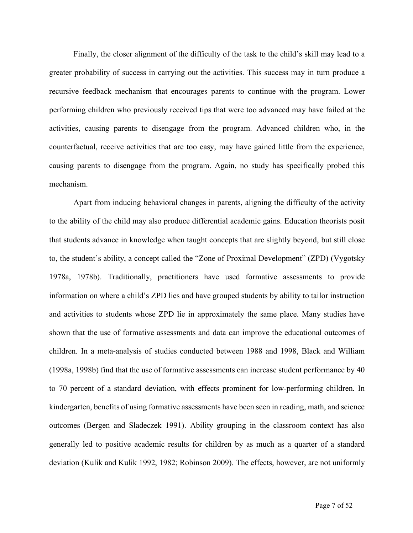Finally, the closer alignment of the difficulty of the task to the child's skill may lead to a greater probability of success in carrying out the activities. This success may in turn produce a recursive feedback mechanism that encourages parents to continue with the program. Lower performing children who previously received tips that were too advanced may have failed at the activities, causing parents to disengage from the program. Advanced children who, in the counterfactual, receive activities that are too easy, may have gained little from the experience, causing parents to disengage from the program. Again, no study has specifically probed this mechanism.

Apart from inducing behavioral changes in parents, aligning the difficulty of the activity to the ability of the child may also produce differential academic gains. Education theorists posit that students advance in knowledge when taught concepts that are slightly beyond, but still close to, the student's ability, a concept called the "Zone of Proximal Development" (ZPD) (Vygotsky 1978a, 1978b). Traditionally, practitioners have used formative assessments to provide information on where a child's ZPD lies and have grouped students by ability to tailor instruction and activities to students whose ZPD lie in approximately the same place. Many studies have shown that the use of formative assessments and data can improve the educational outcomes of children. In a meta-analysis of studies conducted between 1988 and 1998, Black and William (1998a, 1998b) find that the use of formative assessments can increase student performance by 40 to 70 percent of a standard deviation, with effects prominent for low-performing children. In kindergarten, benefits of using formative assessments have been seen in reading, math, and science outcomes (Bergen and Sladeczek 1991). Ability grouping in the classroom context has also generally led to positive academic results for children by as much as a quarter of a standard deviation (Kulik and Kulik 1992, 1982; Robinson 2009). The effects, however, are not uniformly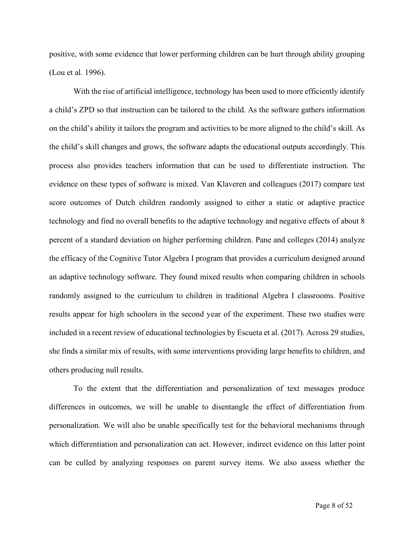positive, with some evidence that lower performing children can be hurt through ability grouping (Lou et al. 1996).

With the rise of artificial intelligence, technology has been used to more efficiently identify a child's ZPD so that instruction can be tailored to the child. As the software gathers information on the child's ability it tailors the program and activities to be more aligned to the child's skill. As the child's skill changes and grows, the software adapts the educational outputs accordingly. This process also provides teachers information that can be used to differentiate instruction. The evidence on these types of software is mixed. Van Klaveren and colleagues (2017) compare test score outcomes of Dutch children randomly assigned to either a static or adaptive practice technology and find no overall benefits to the adaptive technology and negative effects of about 8 percent of a standard deviation on higher performing children. Pane and colleges (2014) analyze the efficacy of the Cognitive Tutor Algebra I program that provides a curriculum designed around an adaptive technology software. They found mixed results when comparing children in schools randomly assigned to the curriculum to children in traditional Algebra I classrooms. Positive results appear for high schoolers in the second year of the experiment. These two studies were included in a recent review of educational technologies by Escueta et al. (2017). Across 29 studies, she finds a similar mix of results, with some interventions providing large benefits to children, and others producing null results.

To the extent that the differentiation and personalization of text messages produce differences in outcomes, we will be unable to disentangle the effect of differentiation from personalization. We will also be unable specifically test for the behavioral mechanisms through which differentiation and personalization can act. However, indirect evidence on this latter point can be culled by analyzing responses on parent survey items. We also assess whether the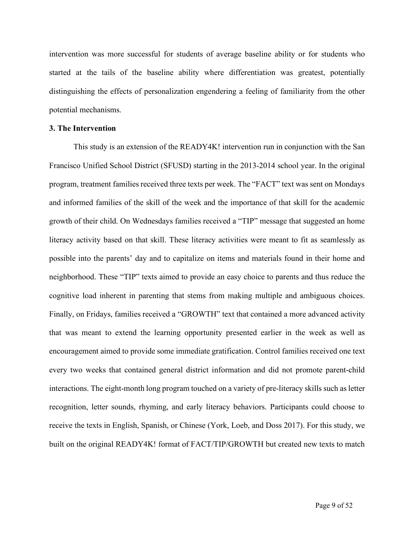intervention was more successful for students of average baseline ability or for students who started at the tails of the baseline ability where differentiation was greatest, potentially distinguishing the effects of personalization engendering a feeling of familiarity from the other potential mechanisms.

# **3. The Intervention**

This study is an extension of the READY4K! intervention run in conjunction with the San Francisco Unified School District (SFUSD) starting in the 2013-2014 school year. In the original program, treatment families received three texts per week. The "FACT" text was sent on Mondays and informed families of the skill of the week and the importance of that skill for the academic growth of their child. On Wednesdays families received a "TIP" message that suggested an home literacy activity based on that skill. These literacy activities were meant to fit as seamlessly as possible into the parents' day and to capitalize on items and materials found in their home and neighborhood. These "TIP" texts aimed to provide an easy choice to parents and thus reduce the cognitive load inherent in parenting that stems from making multiple and ambiguous choices. Finally, on Fridays, families received a "GROWTH" text that contained a more advanced activity that was meant to extend the learning opportunity presented earlier in the week as well as encouragement aimed to provide some immediate gratification. Control families received one text every two weeks that contained general district information and did not promote parent-child interactions. The eight-month long program touched on a variety of pre-literacy skills such as letter recognition, letter sounds, rhyming, and early literacy behaviors. Participants could choose to receive the texts in English, Spanish, or Chinese (York, Loeb, and Doss 2017). For this study, we built on the original READY4K! format of FACT/TIP/GROWTH but created new texts to match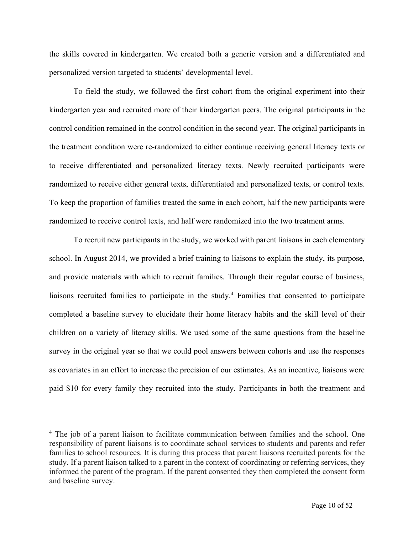the skills covered in kindergarten. We created both a generic version and a differentiated and personalized version targeted to students' developmental level.

To field the study, we followed the first cohort from the original experiment into their kindergarten year and recruited more of their kindergarten peers. The original participants in the control condition remained in the control condition in the second year. The original participants in the treatment condition were re-randomized to either continue receiving general literacy texts or to receive differentiated and personalized literacy texts. Newly recruited participants were randomized to receive either general texts, differentiated and personalized texts, or control texts. To keep the proportion of families treated the same in each cohort, half the new participants were randomized to receive control texts, and half were randomized into the two treatment arms.

To recruit new participants in the study, we worked with parent liaisons in each elementary school. In August 2014, we provided a brief training to liaisons to explain the study, its purpose, and provide materials with which to recruit families. Through their regular course of business, liaisons recruited families to participate in the study. <sup>4</sup> Families that consented to participate completed a baseline survey to elucidate their home literacy habits and the skill level of their children on a variety of literacy skills. We used some of the same questions from the baseline survey in the original year so that we could pool answers between cohorts and use the responses as covariates in an effort to increase the precision of our estimates. As an incentive, liaisons were paid \$10 for every family they recruited into the study. Participants in both the treatment and

**.** 

<sup>&</sup>lt;sup>4</sup> The job of a parent liaison to facilitate communication between families and the school. One responsibility of parent liaisons is to coordinate school services to students and parents and refer families to school resources. It is during this process that parent liaisons recruited parents for the study. If a parent liaison talked to a parent in the context of coordinating or referring services, they informed the parent of the program. If the parent consented they then completed the consent form and baseline survey.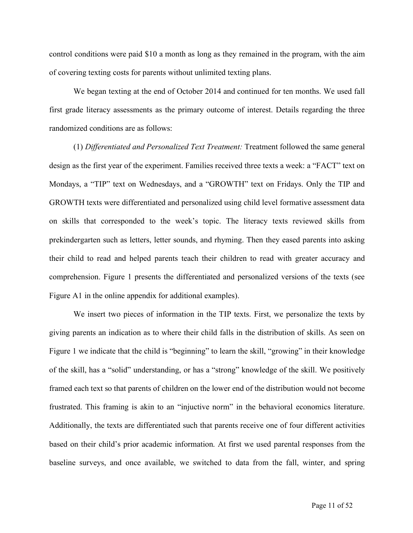control conditions were paid \$10 a month as long as they remained in the program, with the aim of covering texting costs for parents without unlimited texting plans.

We began texting at the end of October 2014 and continued for ten months. We used fall first grade literacy assessments as the primary outcome of interest. Details regarding the three randomized conditions are as follows:

(1) *Differentiated and Personalized Text Treatment:* Treatment followed the same general design as the first year of the experiment. Families received three texts a week: a "FACT" text on Mondays, a "TIP" text on Wednesdays, and a "GROWTH" text on Fridays. Only the TIP and GROWTH texts were differentiated and personalized using child level formative assessment data on skills that corresponded to the week's topic. The literacy texts reviewed skills from prekindergarten such as letters, letter sounds, and rhyming. Then they eased parents into asking their child to read and helped parents teach their children to read with greater accuracy and comprehension. Figure 1 presents the differentiated and personalized versions of the texts (see Figure A1 in the online appendix for additional examples).

We insert two pieces of information in the TIP texts. First, we personalize the texts by giving parents an indication as to where their child falls in the distribution of skills. As seen on Figure 1 we indicate that the child is "beginning" to learn the skill, "growing" in their knowledge of the skill, has a "solid" understanding, or has a "strong" knowledge of the skill. We positively framed each text so that parents of children on the lower end of the distribution would not become frustrated. This framing is akin to an "injuctive norm" in the behavioral economics literature. Additionally, the texts are differentiated such that parents receive one of four different activities based on their child's prior academic information. At first we used parental responses from the baseline surveys, and once available, we switched to data from the fall, winter, and spring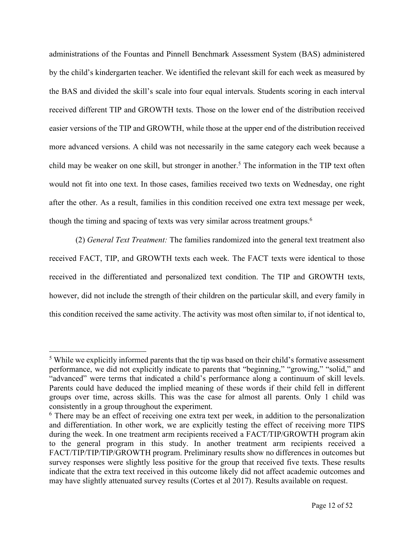administrations of the Fountas and Pinnell Benchmark Assessment System (BAS) administered by the child's kindergarten teacher. We identified the relevant skill for each week as measured by the BAS and divided the skill's scale into four equal intervals. Students scoring in each interval received different TIP and GROWTH texts. Those on the lower end of the distribution received easier versions of the TIP and GROWTH, while those at the upper end of the distribution received more advanced versions. A child was not necessarily in the same category each week because a child may be weaker on one skill, but stronger in another. <sup>5</sup> The information in the TIP text often would not fit into one text. In those cases, families received two texts on Wednesday, one right after the other. As a result, families in this condition received one extra text message per week, though the timing and spacing of texts was very similar across treatment groups.6

(2) *General Text Treatment:* The families randomized into the general text treatment also received FACT, TIP, and GROWTH texts each week. The FACT texts were identical to those received in the differentiated and personalized text condition. The TIP and GROWTH texts, however, did not include the strength of their children on the particular skill, and every family in this condition received the same activity. The activity was most often similar to, if not identical to,

 $\overline{a}$ 

<sup>5</sup> While we explicitly informed parents that the tip was based on their child's formative assessment performance, we did not explicitly indicate to parents that "beginning," "growing," "solid," and "advanced" were terms that indicated a child's performance along a continuum of skill levels. Parents could have deduced the implied meaning of these words if their child fell in different groups over time, across skills. This was the case for almost all parents. Only 1 child was consistently in a group throughout the experiment.

<sup>&</sup>lt;sup>6</sup> There may be an effect of receiving one extra text per week, in addition to the personalization and differentiation. In other work, we are explicitly testing the effect of receiving more TIPS during the week. In one treatment arm recipients received a FACT/TIP/GROWTH program akin to the general program in this study. In another treatment arm recipients received a FACT/TIP/TIP/TIP/GROWTH program. Preliminary results show no differences in outcomes but survey responses were slightly less positive for the group that received five texts. These results indicate that the extra text received in this outcome likely did not affect academic outcomes and may have slightly attenuated survey results (Cortes et al 2017). Results available on request.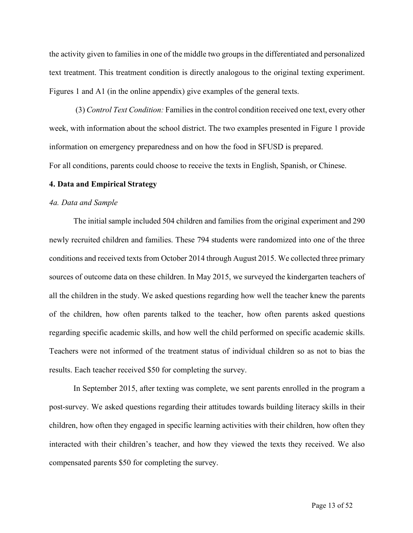the activity given to families in one of the middle two groups in the differentiated and personalized text treatment. This treatment condition is directly analogous to the original texting experiment. Figures 1 and A1 (in the online appendix) give examples of the general texts.

(3) *Control Text Condition:* Families in the control condition received one text, every other week, with information about the school district. The two examples presented in Figure 1 provide information on emergency preparedness and on how the food in SFUSD is prepared.

For all conditions, parents could choose to receive the texts in English, Spanish, or Chinese.

# **4. Data and Empirical Strategy**

#### *4a. Data and Sample*

The initial sample included 504 children and families from the original experiment and 290 newly recruited children and families. These 794 students were randomized into one of the three conditions and received texts from October 2014 through August 2015. We collected three primary sources of outcome data on these children. In May 2015, we surveyed the kindergarten teachers of all the children in the study. We asked questions regarding how well the teacher knew the parents of the children, how often parents talked to the teacher, how often parents asked questions regarding specific academic skills, and how well the child performed on specific academic skills. Teachers were not informed of the treatment status of individual children so as not to bias the results. Each teacher received \$50 for completing the survey.

In September 2015, after texting was complete, we sent parents enrolled in the program a post-survey. We asked questions regarding their attitudes towards building literacy skills in their children, how often they engaged in specific learning activities with their children, how often they interacted with their children's teacher, and how they viewed the texts they received. We also compensated parents \$50 for completing the survey.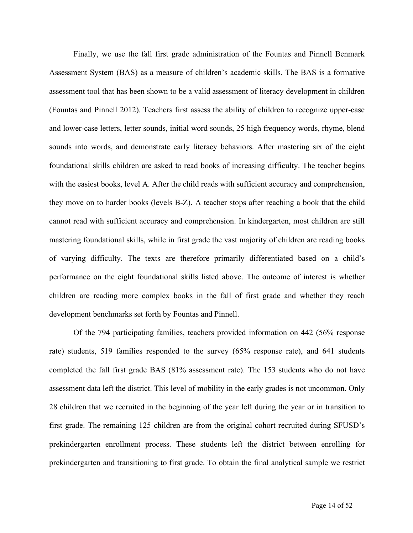Finally, we use the fall first grade administration of the Fountas and Pinnell Benmark Assessment System (BAS) as a measure of children's academic skills. The BAS is a formative assessment tool that has been shown to be a valid assessment of literacy development in children (Fountas and Pinnell 2012). Teachers first assess the ability of children to recognize upper-case and lower-case letters, letter sounds, initial word sounds, 25 high frequency words, rhyme, blend sounds into words, and demonstrate early literacy behaviors. After mastering six of the eight foundational skills children are asked to read books of increasing difficulty. The teacher begins with the easiest books, level A. After the child reads with sufficient accuracy and comprehension, they move on to harder books (levels B-Z). A teacher stops after reaching a book that the child cannot read with sufficient accuracy and comprehension. In kindergarten, most children are still mastering foundational skills, while in first grade the vast majority of children are reading books of varying difficulty. The texts are therefore primarily differentiated based on a child's performance on the eight foundational skills listed above. The outcome of interest is whether children are reading more complex books in the fall of first grade and whether they reach development benchmarks set forth by Fountas and Pinnell.

Of the 794 participating families, teachers provided information on 442 (56% response rate) students, 519 families responded to the survey (65% response rate), and 641 students completed the fall first grade BAS (81% assessment rate). The 153 students who do not have assessment data left the district. This level of mobility in the early grades is not uncommon. Only 28 children that we recruited in the beginning of the year left during the year or in transition to first grade. The remaining 125 children are from the original cohort recruited during SFUSD's prekindergarten enrollment process. These students left the district between enrolling for prekindergarten and transitioning to first grade. To obtain the final analytical sample we restrict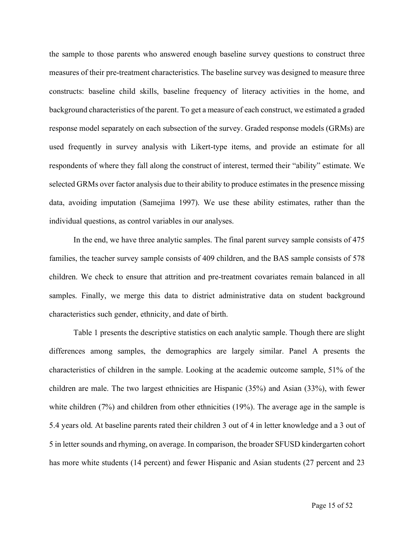the sample to those parents who answered enough baseline survey questions to construct three measures of their pre-treatment characteristics. The baseline survey was designed to measure three constructs: baseline child skills, baseline frequency of literacy activities in the home, and background characteristics of the parent. To get a measure of each construct, we estimated a graded response model separately on each subsection of the survey. Graded response models (GRMs) are used frequently in survey analysis with Likert-type items, and provide an estimate for all respondents of where they fall along the construct of interest, termed their "ability" estimate. We selected GRMs over factor analysis due to their ability to produce estimates in the presence missing data, avoiding imputation (Samejima 1997). We use these ability estimates, rather than the individual questions, as control variables in our analyses.

In the end, we have three analytic samples. The final parent survey sample consists of 475 families, the teacher survey sample consists of 409 children, and the BAS sample consists of 578 children. We check to ensure that attrition and pre-treatment covariates remain balanced in all samples. Finally, we merge this data to district administrative data on student background characteristics such gender, ethnicity, and date of birth.

Table 1 presents the descriptive statistics on each analytic sample. Though there are slight differences among samples, the demographics are largely similar. Panel A presents the characteristics of children in the sample. Looking at the academic outcome sample, 51% of the children are male. The two largest ethnicities are Hispanic (35%) and Asian (33%), with fewer white children (7%) and children from other ethnicities (19%). The average age in the sample is 5.4 years old. At baseline parents rated their children 3 out of 4 in letter knowledge and a 3 out of 5 in letter sounds and rhyming, on average. In comparison, the broader SFUSD kindergarten cohort has more white students (14 percent) and fewer Hispanic and Asian students (27 percent and 23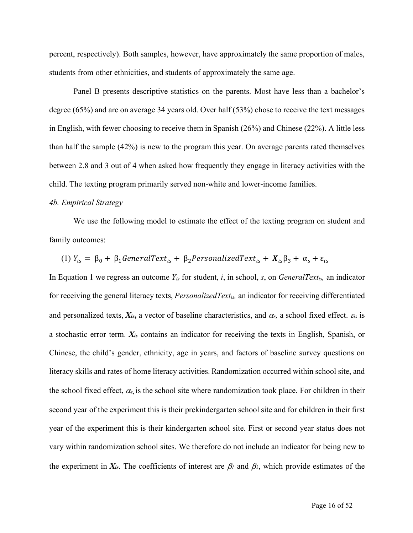percent, respectively). Both samples, however, have approximately the same proportion of males, students from other ethnicities, and students of approximately the same age.

Panel B presents descriptive statistics on the parents. Most have less than a bachelor's degree (65%) and are on average 34 years old. Over half (53%) chose to receive the text messages in English, with fewer choosing to receive them in Spanish (26%) and Chinese (22%). A little less than half the sample (42%) is new to the program this year. On average parents rated themselves between 2.8 and 3 out of 4 when asked how frequently they engage in literacy activities with the child. The texting program primarily served non-white and lower-income families.

#### *4b. Empirical Strategy*

We use the following model to estimate the effect of the texting program on student and family outcomes:

(1) 
$$
Y_{is} = \beta_0 + \beta_1 \text{GeneralText}_{is} + \beta_2 \text{PersonalizedText}_{is} + X_{is}\beta_3 + \alpha_s + \varepsilon_{is}
$$

In Equation 1 we regress an outcome *Yis* for student, *i*, in school, *s*, on *GeneralTextis,* an indicator for receiving the general literacy texts, *PersonalizedTextis,* an indicator for receiving differentiated and personalized texts,  $X_{is}$ , a vector of baseline characteristics, and  $\alpha_s$ , a school fixed effect.  $\varepsilon_{is}$  is a stochastic error term. *Xis* contains an indicator for receiving the texts in English, Spanish, or Chinese, the child's gender, ethnicity, age in years, and factors of baseline survey questions on literacy skills and rates of home literacy activities. Randomization occurred within school site, and the school fixed effect,  $\alpha_{s}$  is the school site where randomization took place. For children in their second year of the experiment this is their prekindergarten school site and for children in their first year of the experiment this is their kindergarten school site. First or second year status does not vary within randomization school sites. We therefore do not include an indicator for being new to the experiment in  $X_{is}$ . The coefficients of interest are  $\beta_l$  and  $\beta_2$ , which provide estimates of the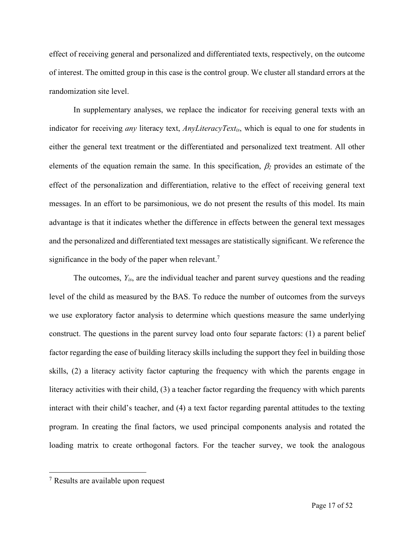effect of receiving general and personalized and differentiated texts, respectively, on the outcome of interest. The omitted group in this case is the control group. We cluster all standard errors at the randomization site level.

In supplementary analyses, we replace the indicator for receiving general texts with an indicator for receiving *any* literacy text, *AnyLiteracyTextis*, which is equal to one for students in either the general text treatment or the differentiated and personalized text treatment. All other elements of the equation remain the same. In this specification,  $\beta_2$  provides an estimate of the effect of the personalization and differentiation, relative to the effect of receiving general text messages. In an effort to be parsimonious, we do not present the results of this model. Its main advantage is that it indicates whether the difference in effects between the general text messages and the personalized and differentiated text messages are statistically significant. We reference the significance in the body of the paper when relevant.<sup>7</sup>

The outcomes, *Yis*, are the individual teacher and parent survey questions and the reading level of the child as measured by the BAS. To reduce the number of outcomes from the surveys we use exploratory factor analysis to determine which questions measure the same underlying construct. The questions in the parent survey load onto four separate factors: (1) a parent belief factor regarding the ease of building literacy skills including the support they feel in building those skills, (2) a literacy activity factor capturing the frequency with which the parents engage in literacy activities with their child, (3) a teacher factor regarding the frequency with which parents interact with their child's teacher, and (4) a text factor regarding parental attitudes to the texting program. In creating the final factors, we used principal components analysis and rotated the loading matrix to create orthogonal factors. For the teacher survey, we took the analogous

<u>.</u>

<sup>7</sup> Results are available upon request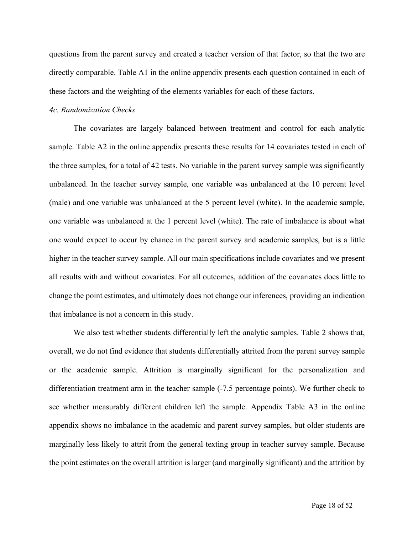questions from the parent survey and created a teacher version of that factor, so that the two are directly comparable. Table A1 in the online appendix presents each question contained in each of these factors and the weighting of the elements variables for each of these factors.

#### *4c. Randomization Checks*

The covariates are largely balanced between treatment and control for each analytic sample. Table A2 in the online appendix presents these results for 14 covariates tested in each of the three samples, for a total of 42 tests. No variable in the parent survey sample was significantly unbalanced. In the teacher survey sample, one variable was unbalanced at the 10 percent level (male) and one variable was unbalanced at the 5 percent level (white). In the academic sample, one variable was unbalanced at the 1 percent level (white). The rate of imbalance is about what one would expect to occur by chance in the parent survey and academic samples, but is a little higher in the teacher survey sample. All our main specifications include covariates and we present all results with and without covariates. For all outcomes, addition of the covariates does little to change the point estimates, and ultimately does not change our inferences, providing an indication that imbalance is not a concern in this study.

We also test whether students differentially left the analytic samples. Table 2 shows that, overall, we do not find evidence that students differentially attrited from the parent survey sample or the academic sample. Attrition is marginally significant for the personalization and differentiation treatment arm in the teacher sample (-7.5 percentage points). We further check to see whether measurably different children left the sample. Appendix Table A3 in the online appendix shows no imbalance in the academic and parent survey samples, but older students are marginally less likely to attrit from the general texting group in teacher survey sample. Because the point estimates on the overall attrition is larger (and marginally significant) and the attrition by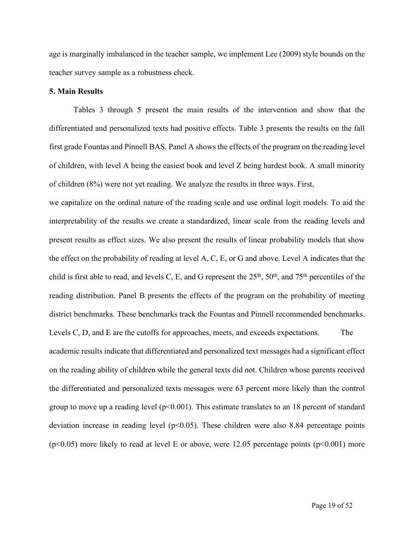age is marginally imbalanced in the teacher sample, we implement Lee (2009) style bounds on the teacher survey sample as a robustness check.

# **5. Main Results**

Tables 3 through 5 present the main results of the intervention and show that the differentiated and personalized texts had positive effects. Table 3 presents the results on the fall first grade Fountas and Pinnell BAS. Panel A shows the effects of the program on the reading level of children, with level A being the easiest book and level Z being hardest book. A small minority of children (8%) were not yet reading. We analyze the results in three ways. First,

we capitalize on the ordinal nature of the reading scale and use ordinal logit models. To aid the interpretability of the results we create a standardized, linear scale from the reading levels and present results as effect sizes. We also present the results of linear probability models that show the effect on the probability of reading at level A, C, E, or G and above. Level A indicates that the child is first able to read, and levels C, E, and G represent the  $25<sup>th</sup>$ ,  $50<sup>th</sup>$ , and  $75<sup>th</sup>$  percentiles of the reading distribution. Panel B presents the effects of the program on the probability of meeting district benchmarks. These benchmarks track the Fountas and Pinnell recommended benchmarks. Levels C, D, and E are the cutoffs for approaches, meets, and exceeds expectations. The academic results indicate that differentiated and personalized text messages had a significant effect on the reading ability of children while the general texts did not. Children whose parents received the differentiated and personalized texts messages were 63 percent more likely than the control group to move up a reading level  $(p<0.001)$ . This estimate translates to an 18 percent of standard deviation increase in reading level  $(p<0.05)$ . These children were also 8.84 percentage points ( $p$ <0.05) more likely to read at level E or above, were 12.05 percentage points ( $p$ <0.001) more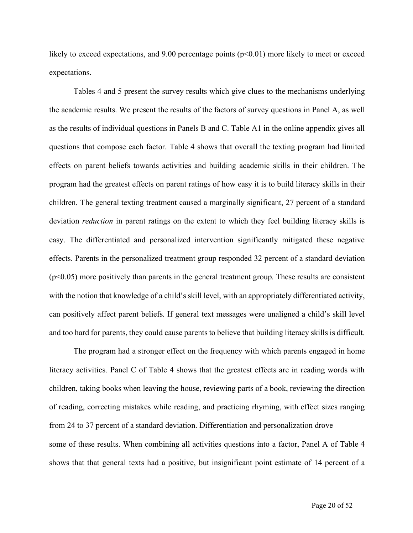likely to exceed expectations, and 9.00 percentage points ( $p<0.01$ ) more likely to meet or exceed expectations.

Tables 4 and 5 present the survey results which give clues to the mechanisms underlying the academic results. We present the results of the factors of survey questions in Panel A, as well as the results of individual questions in Panels B and C. Table A1 in the online appendix gives all questions that compose each factor. Table 4 shows that overall the texting program had limited effects on parent beliefs towards activities and building academic skills in their children. The program had the greatest effects on parent ratings of how easy it is to build literacy skills in their children. The general texting treatment caused a marginally significant, 27 percent of a standard deviation *reduction* in parent ratings on the extent to which they feel building literacy skills is easy. The differentiated and personalized intervention significantly mitigated these negative effects. Parents in the personalized treatment group responded 32 percent of a standard deviation  $(p<0.05)$  more positively than parents in the general treatment group. These results are consistent with the notion that knowledge of a child's skill level, with an appropriately differentiated activity, can positively affect parent beliefs. If general text messages were unaligned a child's skill level and too hard for parents, they could cause parents to believe that building literacy skills is difficult.

The program had a stronger effect on the frequency with which parents engaged in home literacy activities. Panel C of Table 4 shows that the greatest effects are in reading words with children, taking books when leaving the house, reviewing parts of a book, reviewing the direction of reading, correcting mistakes while reading, and practicing rhyming, with effect sizes ranging from 24 to 37 percent of a standard deviation. Differentiation and personalization drove some of these results. When combining all activities questions into a factor, Panel A of Table 4 shows that that general texts had a positive, but insignificant point estimate of 14 percent of a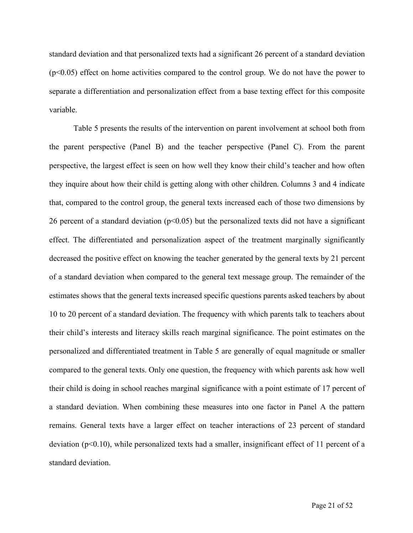standard deviation and that personalized texts had a significant 26 percent of a standard deviation  $(p<0.05)$  effect on home activities compared to the control group. We do not have the power to separate a differentiation and personalization effect from a base texting effect for this composite variable.

Table 5 presents the results of the intervention on parent involvement at school both from the parent perspective (Panel B) and the teacher perspective (Panel C). From the parent perspective, the largest effect is seen on how well they know their child's teacher and how often they inquire about how their child is getting along with other children. Columns 3 and 4 indicate that, compared to the control group, the general texts increased each of those two dimensions by 26 percent of a standard deviation  $(p<0.05)$  but the personalized texts did not have a significant effect. The differentiated and personalization aspect of the treatment marginally significantly decreased the positive effect on knowing the teacher generated by the general texts by 21 percent of a standard deviation when compared to the general text message group. The remainder of the estimates shows that the general texts increased specific questions parents asked teachers by about 10 to 20 percent of a standard deviation. The frequency with which parents talk to teachers about their child's interests and literacy skills reach marginal significance. The point estimates on the personalized and differentiated treatment in Table 5 are generally of equal magnitude or smaller compared to the general texts. Only one question, the frequency with which parents ask how well their child is doing in school reaches marginal significance with a point estimate of 17 percent of a standard deviation. When combining these measures into one factor in Panel A the pattern remains. General texts have a larger effect on teacher interactions of 23 percent of standard deviation (p<0.10), while personalized texts had a smaller, insignificant effect of 11 percent of a standard deviation.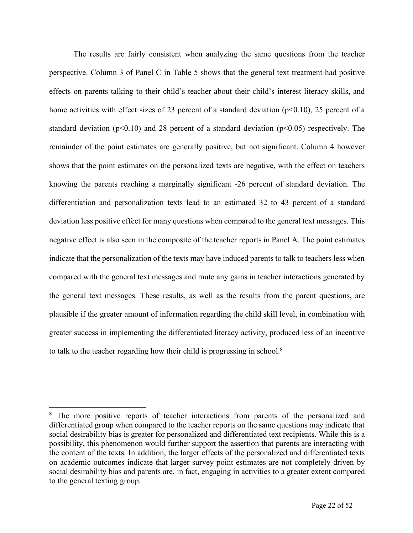The results are fairly consistent when analyzing the same questions from the teacher perspective. Column 3 of Panel C in Table 5 shows that the general text treatment had positive effects on parents talking to their child's teacher about their child's interest literacy skills, and home activities with effect sizes of 23 percent of a standard deviation ( $p<0.10$ ), 25 percent of a standard deviation ( $p<0.10$ ) and 28 percent of a standard deviation ( $p<0.05$ ) respectively. The remainder of the point estimates are generally positive, but not significant. Column 4 however shows that the point estimates on the personalized texts are negative, with the effect on teachers knowing the parents reaching a marginally significant -26 percent of standard deviation. The differentiation and personalization texts lead to an estimated 32 to 43 percent of a standard deviation less positive effect for many questions when compared to the general text messages. This negative effect is also seen in the composite of the teacher reports in Panel A. The point estimates indicate that the personalization of the texts may have induced parents to talk to teachers less when compared with the general text messages and mute any gains in teacher interactions generated by the general text messages. These results, as well as the results from the parent questions, are plausible if the greater amount of information regarding the child skill level, in combination with greater success in implementing the differentiated literacy activity, produced less of an incentive to talk to the teacher regarding how their child is progressing in school.8

<u>.</u>

<sup>&</sup>lt;sup>8</sup> The more positive reports of teacher interactions from parents of the personalized and differentiated group when compared to the teacher reports on the same questions may indicate that social desirability bias is greater for personalized and differentiated text recipients. While this is a possibility, this phenomenon would further support the assertion that parents are interacting with the content of the texts. In addition, the larger effects of the personalized and differentiated texts on academic outcomes indicate that larger survey point estimates are not completely driven by social desirability bias and parents are, in fact, engaging in activities to a greater extent compared to the general texting group.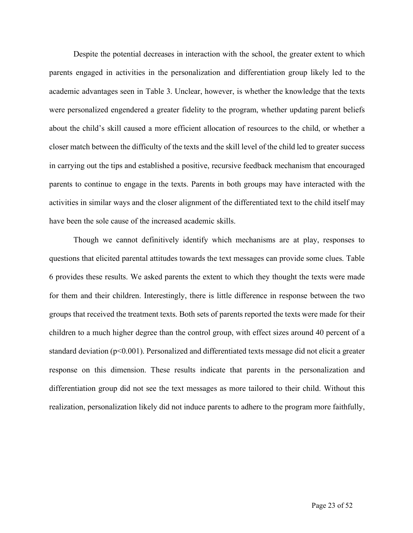Despite the potential decreases in interaction with the school, the greater extent to which parents engaged in activities in the personalization and differentiation group likely led to the academic advantages seen in Table 3. Unclear, however, is whether the knowledge that the texts were personalized engendered a greater fidelity to the program, whether updating parent beliefs about the child's skill caused a more efficient allocation of resources to the child, or whether a closer match between the difficulty of the texts and the skill level of the child led to greater success in carrying out the tips and established a positive, recursive feedback mechanism that encouraged parents to continue to engage in the texts. Parents in both groups may have interacted with the activities in similar ways and the closer alignment of the differentiated text to the child itself may have been the sole cause of the increased academic skills.

Though we cannot definitively identify which mechanisms are at play, responses to questions that elicited parental attitudes towards the text messages can provide some clues. Table 6 provides these results. We asked parents the extent to which they thought the texts were made for them and their children. Interestingly, there is little difference in response between the two groups that received the treatment texts. Both sets of parents reported the texts were made for their children to a much higher degree than the control group, with effect sizes around 40 percent of a standard deviation (p<0.001). Personalized and differentiated texts message did not elicit a greater response on this dimension. These results indicate that parents in the personalization and differentiation group did not see the text messages as more tailored to their child. Without this realization, personalization likely did not induce parents to adhere to the program more faithfully,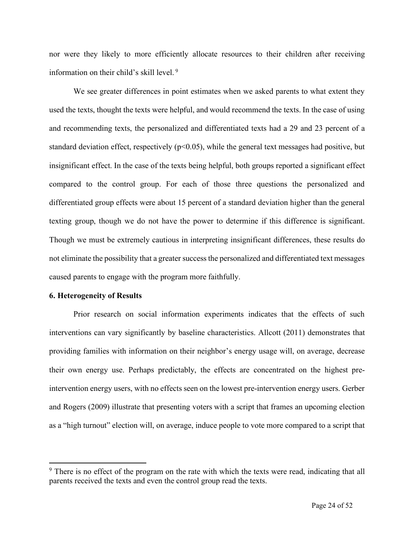nor were they likely to more efficiently allocate resources to their children after receiving information on their child's skill level. <sup>9</sup>

We see greater differences in point estimates when we asked parents to what extent they used the texts, thought the texts were helpful, and would recommend the texts. In the case of using and recommending texts, the personalized and differentiated texts had a 29 and 23 percent of a standard deviation effect, respectively ( $p<0.05$ ), while the general text messages had positive, but insignificant effect. In the case of the texts being helpful, both groups reported a significant effect compared to the control group. For each of those three questions the personalized and differentiated group effects were about 15 percent of a standard deviation higher than the general texting group, though we do not have the power to determine if this difference is significant. Though we must be extremely cautious in interpreting insignificant differences, these results do not eliminate the possibility that a greater success the personalized and differentiated text messages caused parents to engage with the program more faithfully.

# **6. Heterogeneity of Results**

<u>.</u>

Prior research on social information experiments indicates that the effects of such interventions can vary significantly by baseline characteristics. Allcott (2011) demonstrates that providing families with information on their neighbor's energy usage will, on average, decrease their own energy use. Perhaps predictably, the effects are concentrated on the highest preintervention energy users, with no effects seen on the lowest pre-intervention energy users. Gerber and Rogers (2009) illustrate that presenting voters with a script that frames an upcoming election as a "high turnout" election will, on average, induce people to vote more compared to a script that

<sup>&</sup>lt;sup>9</sup> There is no effect of the program on the rate with which the texts were read, indicating that all parents received the texts and even the control group read the texts.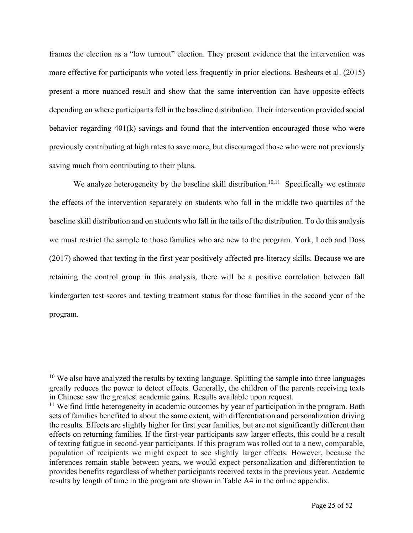frames the election as a "low turnout" election. They present evidence that the intervention was more effective for participants who voted less frequently in prior elections. Beshears et al. (2015) present a more nuanced result and show that the same intervention can have opposite effects depending on where participants fell in the baseline distribution. Their intervention provided social behavior regarding 401(k) savings and found that the intervention encouraged those who were previously contributing at high rates to save more, but discouraged those who were not previously saving much from contributing to their plans.

We analyze heterogeneity by the baseline skill distribution.<sup>10,11</sup> Specifically we estimate the effects of the intervention separately on students who fall in the middle two quartiles of the baseline skill distribution and on students who fall in the tails of the distribution. To do this analysis we must restrict the sample to those families who are new to the program. York, Loeb and Doss (2017) showed that texting in the first year positively affected pre-literacy skills. Because we are retaining the control group in this analysis, there will be a positive correlation between fall kindergarten test scores and texting treatment status for those families in the second year of the program.

<u>.</u>

<sup>&</sup>lt;sup>10</sup> We also have analyzed the results by texting language. Splitting the sample into three languages greatly reduces the power to detect effects. Generally, the children of the parents receiving texts in Chinese saw the greatest academic gains. Results available upon request.

<sup>&</sup>lt;sup>11</sup> We find little heterogeneity in academic outcomes by year of participation in the program. Both sets of families benefited to about the same extent, with differentiation and personalization driving the results. Effects are slightly higher for first year families, but are not significantly different than effects on returning families. If the first-year participants saw larger effects, this could be a result of texting fatigue in second-year participants. If this program was rolled out to a new, comparable, population of recipients we might expect to see slightly larger effects. However, because the inferences remain stable between years, we would expect personalization and differentiation to provides benefits regardless of whether participants received texts in the previous year. Academic results by length of time in the program are shown in Table A4 in the online appendix.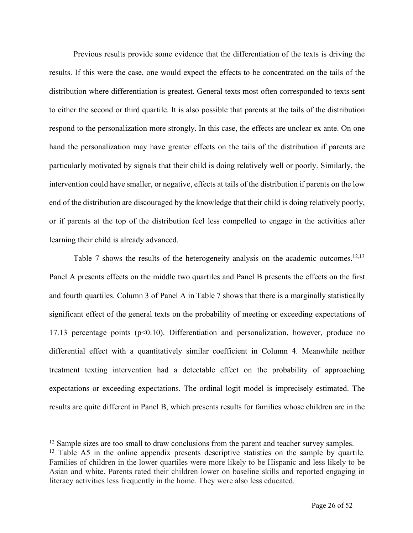Previous results provide some evidence that the differentiation of the texts is driving the results. If this were the case, one would expect the effects to be concentrated on the tails of the distribution where differentiation is greatest. General texts most often corresponded to texts sent to either the second or third quartile. It is also possible that parents at the tails of the distribution respond to the personalization more strongly. In this case, the effects are unclear ex ante. On one hand the personalization may have greater effects on the tails of the distribution if parents are particularly motivated by signals that their child is doing relatively well or poorly. Similarly, the intervention could have smaller, or negative, effects at tails of the distribution if parents on the low end of the distribution are discouraged by the knowledge that their child is doing relatively poorly, or if parents at the top of the distribution feel less compelled to engage in the activities after learning their child is already advanced.

Table 7 shows the results of the heterogeneity analysis on the academic outcomes.<sup>12,13</sup> Panel A presents effects on the middle two quartiles and Panel B presents the effects on the first and fourth quartiles. Column 3 of Panel A in Table 7 shows that there is a marginally statistically significant effect of the general texts on the probability of meeting or exceeding expectations of 17.13 percentage points (p<0.10). Differentiation and personalization, however, produce no differential effect with a quantitatively similar coefficient in Column 4. Meanwhile neither treatment texting intervention had a detectable effect on the probability of approaching expectations or exceeding expectations. The ordinal logit model is imprecisely estimated. The results are quite different in Panel B, which presents results for families whose children are in the

**.** 

<sup>&</sup>lt;sup>12</sup> Sample sizes are too small to draw conclusions from the parent and teacher survey samples. <sup>13</sup> Table A5 in the online appendix presents descriptive statistics on the sample by quartile. Families of children in the lower quartiles were more likely to be Hispanic and less likely to be Asian and white. Parents rated their children lower on baseline skills and reported engaging in literacy activities less frequently in the home. They were also less educated.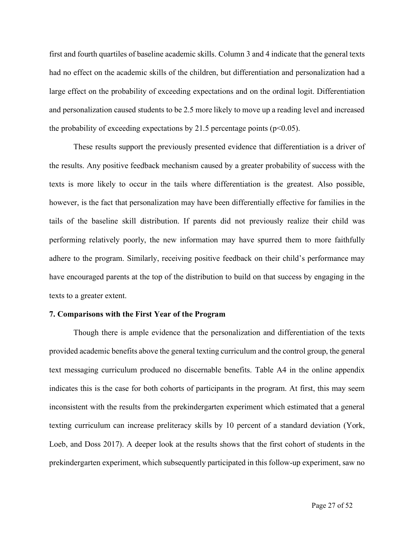first and fourth quartiles of baseline academic skills. Column 3 and 4 indicate that the general texts had no effect on the academic skills of the children, but differentiation and personalization had a large effect on the probability of exceeding expectations and on the ordinal logit. Differentiation and personalization caused students to be 2.5 more likely to move up a reading level and increased the probability of exceeding expectations by 21.5 percentage points ( $p<0.05$ ).

These results support the previously presented evidence that differentiation is a driver of the results. Any positive feedback mechanism caused by a greater probability of success with the texts is more likely to occur in the tails where differentiation is the greatest. Also possible, however, is the fact that personalization may have been differentially effective for families in the tails of the baseline skill distribution. If parents did not previously realize their child was performing relatively poorly, the new information may have spurred them to more faithfully adhere to the program. Similarly, receiving positive feedback on their child's performance may have encouraged parents at the top of the distribution to build on that success by engaging in the texts to a greater extent.

# **7. Comparisons with the First Year of the Program**

Though there is ample evidence that the personalization and differentiation of the texts provided academic benefits above the general texting curriculum and the control group, the general text messaging curriculum produced no discernable benefits. Table A4 in the online appendix indicates this is the case for both cohorts of participants in the program. At first, this may seem inconsistent with the results from the prekindergarten experiment which estimated that a general texting curriculum can increase preliteracy skills by 10 percent of a standard deviation (York, Loeb, and Doss 2017). A deeper look at the results shows that the first cohort of students in the prekindergarten experiment, which subsequently participated in this follow-up experiment, saw no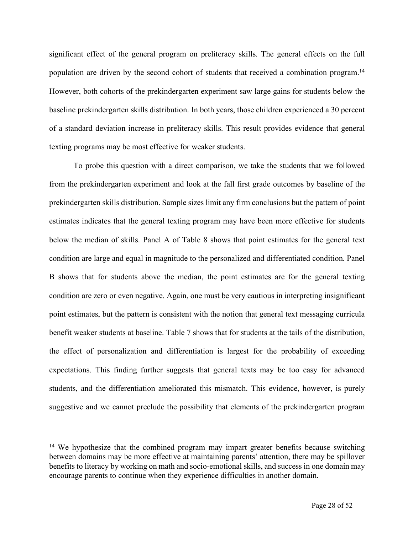significant effect of the general program on preliteracy skills. The general effects on the full population are driven by the second cohort of students that received a combination program.14 However, both cohorts of the prekindergarten experiment saw large gains for students below the baseline prekindergarten skills distribution. In both years, those children experienced a 30 percent of a standard deviation increase in preliteracy skills. This result provides evidence that general texting programs may be most effective for weaker students.

To probe this question with a direct comparison, we take the students that we followed from the prekindergarten experiment and look at the fall first grade outcomes by baseline of the prekindergarten skills distribution. Sample sizes limit any firm conclusions but the pattern of point estimates indicates that the general texting program may have been more effective for students below the median of skills. Panel A of Table 8 shows that point estimates for the general text condition are large and equal in magnitude to the personalized and differentiated condition. Panel B shows that for students above the median, the point estimates are for the general texting condition are zero or even negative. Again, one must be very cautious in interpreting insignificant point estimates, but the pattern is consistent with the notion that general text messaging curricula benefit weaker students at baseline. Table 7 shows that for students at the tails of the distribution, the effect of personalization and differentiation is largest for the probability of exceeding expectations. This finding further suggests that general texts may be too easy for advanced students, and the differentiation ameliorated this mismatch. This evidence, however, is purely suggestive and we cannot preclude the possibility that elements of the prekindergarten program

 $\overline{a}$ 

<sup>&</sup>lt;sup>14</sup> We hypothesize that the combined program may impart greater benefits because switching between domains may be more effective at maintaining parents' attention, there may be spillover benefits to literacy by working on math and socio-emotional skills, and success in one domain may encourage parents to continue when they experience difficulties in another domain.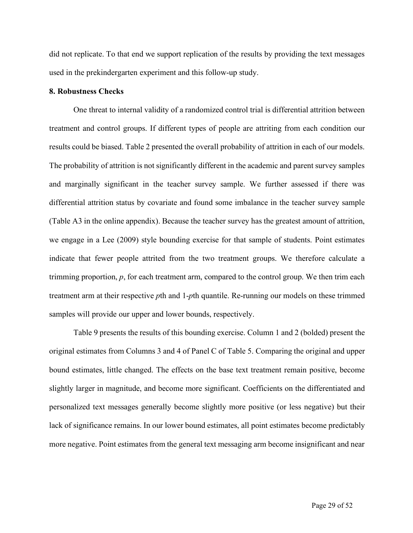did not replicate. To that end we support replication of the results by providing the text messages used in the prekindergarten experiment and this follow-up study.

#### **8. Robustness Checks**

One threat to internal validity of a randomized control trial is differential attrition between treatment and control groups. If different types of people are attriting from each condition our results could be biased. Table 2 presented the overall probability of attrition in each of our models. The probability of attrition is not significantly different in the academic and parent survey samples and marginally significant in the teacher survey sample. We further assessed if there was differential attrition status by covariate and found some imbalance in the teacher survey sample (Table A3 in the online appendix). Because the teacher survey has the greatest amount of attrition, we engage in a Lee (2009) style bounding exercise for that sample of students. Point estimates indicate that fewer people attrited from the two treatment groups. We therefore calculate a trimming proportion, *p*, for each treatment arm, compared to the control group. We then trim each treatment arm at their respective *p*th and 1-*p*th quantile. Re-running our models on these trimmed samples will provide our upper and lower bounds, respectively.

Table 9 presents the results of this bounding exercise. Column 1 and 2 (bolded) present the original estimates from Columns 3 and 4 of Panel C of Table 5. Comparing the original and upper bound estimates, little changed. The effects on the base text treatment remain positive, become slightly larger in magnitude, and become more significant. Coefficients on the differentiated and personalized text messages generally become slightly more positive (or less negative) but their lack of significance remains. In our lower bound estimates, all point estimates become predictably more negative. Point estimates from the general text messaging arm become insignificant and near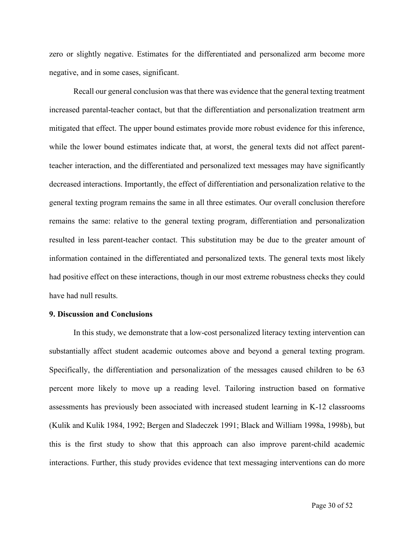zero or slightly negative. Estimates for the differentiated and personalized arm become more negative, and in some cases, significant.

Recall our general conclusion was that there was evidence that the general texting treatment increased parental-teacher contact, but that the differentiation and personalization treatment arm mitigated that effect. The upper bound estimates provide more robust evidence for this inference, while the lower bound estimates indicate that, at worst, the general texts did not affect parentteacher interaction, and the differentiated and personalized text messages may have significantly decreased interactions. Importantly, the effect of differentiation and personalization relative to the general texting program remains the same in all three estimates. Our overall conclusion therefore remains the same: relative to the general texting program, differentiation and personalization resulted in less parent-teacher contact. This substitution may be due to the greater amount of information contained in the differentiated and personalized texts. The general texts most likely had positive effect on these interactions, though in our most extreme robustness checks they could have had null results.

# **9. Discussion and Conclusions**

In this study, we demonstrate that a low-cost personalized literacy texting intervention can substantially affect student academic outcomes above and beyond a general texting program. Specifically, the differentiation and personalization of the messages caused children to be 63 percent more likely to move up a reading level. Tailoring instruction based on formative assessments has previously been associated with increased student learning in K-12 classrooms (Kulik and Kulik 1984, 1992; Bergen and Sladeczek 1991; Black and William 1998a, 1998b), but this is the first study to show that this approach can also improve parent-child academic interactions. Further, this study provides evidence that text messaging interventions can do more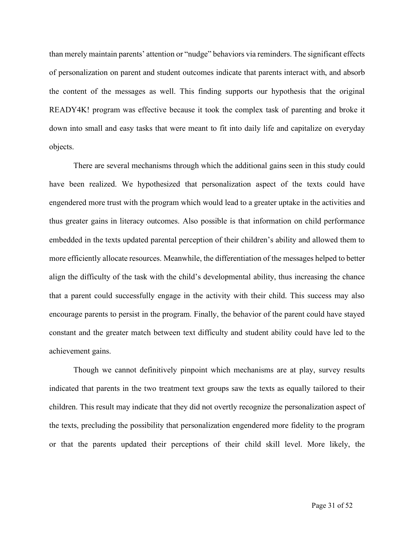than merely maintain parents' attention or "nudge" behaviors via reminders. The significant effects of personalization on parent and student outcomes indicate that parents interact with, and absorb the content of the messages as well. This finding supports our hypothesis that the original READY4K! program was effective because it took the complex task of parenting and broke it down into small and easy tasks that were meant to fit into daily life and capitalize on everyday objects.

There are several mechanisms through which the additional gains seen in this study could have been realized. We hypothesized that personalization aspect of the texts could have engendered more trust with the program which would lead to a greater uptake in the activities and thus greater gains in literacy outcomes. Also possible is that information on child performance embedded in the texts updated parental perception of their children's ability and allowed them to more efficiently allocate resources. Meanwhile, the differentiation of the messages helped to better align the difficulty of the task with the child's developmental ability, thus increasing the chance that a parent could successfully engage in the activity with their child. This success may also encourage parents to persist in the program. Finally, the behavior of the parent could have stayed constant and the greater match between text difficulty and student ability could have led to the achievement gains.

Though we cannot definitively pinpoint which mechanisms are at play, survey results indicated that parents in the two treatment text groups saw the texts as equally tailored to their children. This result may indicate that they did not overtly recognize the personalization aspect of the texts, precluding the possibility that personalization engendered more fidelity to the program or that the parents updated their perceptions of their child skill level. More likely, the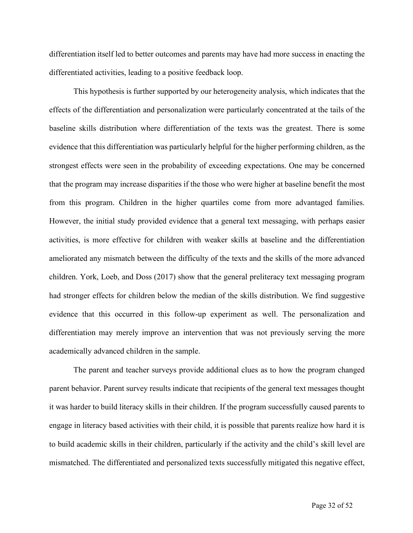differentiation itself led to better outcomes and parents may have had more success in enacting the differentiated activities, leading to a positive feedback loop.

This hypothesis is further supported by our heterogeneity analysis, which indicates that the effects of the differentiation and personalization were particularly concentrated at the tails of the baseline skills distribution where differentiation of the texts was the greatest. There is some evidence that this differentiation was particularly helpful for the higher performing children, as the strongest effects were seen in the probability of exceeding expectations. One may be concerned that the program may increase disparities if the those who were higher at baseline benefit the most from this program. Children in the higher quartiles come from more advantaged families. However, the initial study provided evidence that a general text messaging, with perhaps easier activities, is more effective for children with weaker skills at baseline and the differentiation ameliorated any mismatch between the difficulty of the texts and the skills of the more advanced children. York, Loeb, and Doss (2017) show that the general preliteracy text messaging program had stronger effects for children below the median of the skills distribution. We find suggestive evidence that this occurred in this follow-up experiment as well. The personalization and differentiation may merely improve an intervention that was not previously serving the more academically advanced children in the sample.

The parent and teacher surveys provide additional clues as to how the program changed parent behavior. Parent survey results indicate that recipients of the general text messages thought it was harder to build literacy skills in their children. If the program successfully caused parents to engage in literacy based activities with their child, it is possible that parents realize how hard it is to build academic skills in their children, particularly if the activity and the child's skill level are mismatched. The differentiated and personalized texts successfully mitigated this negative effect,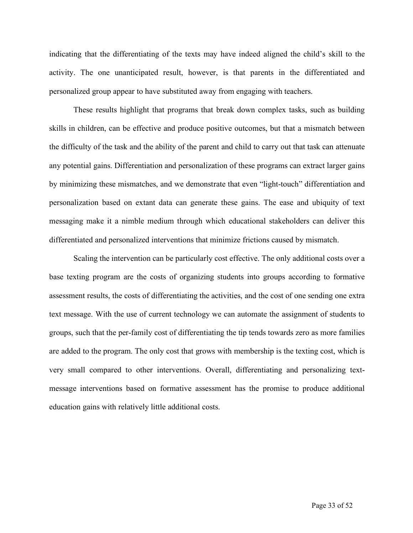indicating that the differentiating of the texts may have indeed aligned the child's skill to the activity. The one unanticipated result, however, is that parents in the differentiated and personalized group appear to have substituted away from engaging with teachers.

These results highlight that programs that break down complex tasks, such as building skills in children, can be effective and produce positive outcomes, but that a mismatch between the difficulty of the task and the ability of the parent and child to carry out that task can attenuate any potential gains. Differentiation and personalization of these programs can extract larger gains by minimizing these mismatches, and we demonstrate that even "light-touch" differentiation and personalization based on extant data can generate these gains. The ease and ubiquity of text messaging make it a nimble medium through which educational stakeholders can deliver this differentiated and personalized interventions that minimize frictions caused by mismatch.

Scaling the intervention can be particularly cost effective. The only additional costs over a base texting program are the costs of organizing students into groups according to formative assessment results, the costs of differentiating the activities, and the cost of one sending one extra text message. With the use of current technology we can automate the assignment of students to groups, such that the per-family cost of differentiating the tip tends towards zero as more families are added to the program. The only cost that grows with membership is the texting cost, which is very small compared to other interventions. Overall, differentiating and personalizing textmessage interventions based on formative assessment has the promise to produce additional education gains with relatively little additional costs.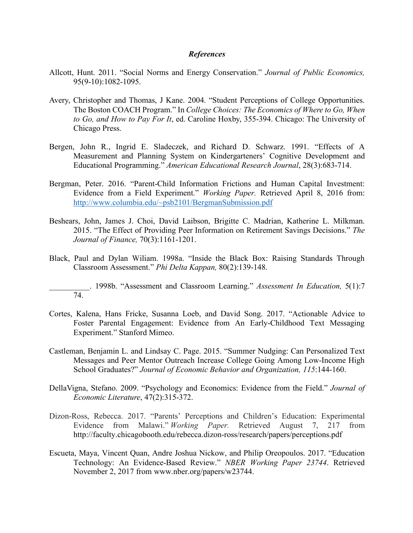#### *References*

- Allcott, Hunt. 2011. "Social Norms and Energy Conservation." *Journal of Public Economics,* 95(9-10):1082-1095.
- Avery, Christopher and Thomas, J Kane. 2004. "Student Perceptions of College Opportunities. The Boston COACH Program." In *College Choices: The Economics of Where to Go, When to Go, and How to Pay For It*, ed. Caroline Hoxby, 355-394. Chicago: The University of Chicago Press.
- Bergen, John R., Ingrid E. Sladeczek, and Richard D. Schwarz. 1991. "Effects of A Measurement and Planning System on Kindergarteners' Cognitive Development and Educational Programming." *American Educational Research Journal*, 28(3):683-714.
- Bergman, Peter. 2016. "Parent-Child Information Frictions and Human Capital Investment: Evidence from a Field Experiment." *Working Paper.* Retrieved April 8, 2016 from: http://www.columbia.edu/~psb2101/BergmanSubmission.pdf
- Beshears, John, James J. Choi, David Laibson, Brigitte C. Madrian, Katherine L. Milkman. 2015. "The Effect of Providing Peer Information on Retirement Savings Decisions." *The Journal of Finance,* 70(3):1161-1201.
- Black, Paul and Dylan Wiliam. 1998a. "Inside the Black Box: Raising Standards Through Classroom Assessment." *Phi Delta Kappan,* 80(2):139-148.

\_\_\_\_\_\_\_\_\_\_. 1998b. "Assessment and Classroom Learning." *Assessment In Education,* 5(1):7 74.

- Cortes, Kalena, Hans Fricke, Susanna Loeb, and David Song. 2017. "Actionable Advice to Foster Parental Engagement: Evidence from An Early-Childhood Text Messaging Experiment." Stanford Mimeo.
- Castleman, Benjamin L. and Lindsay C. Page. 2015. "Summer Nudging: Can Personalized Text Messages and Peer Mentor Outreach Increase College Going Among Low-Income High School Graduates?" *Journal of Economic Behavior and Organization, 115*:144-160.
- DellaVigna, Stefano. 2009. "Psychology and Economics: Evidence from the Field." *Journal of Economic Literature*, 47(2):315-372.
- Dizon-Ross, Rebecca. 2017. "Parents' Perceptions and Children's Education: Experimental Evidence from Malawi." *Working Paper.* Retrieved August 7, 217 from http://faculty.chicagobooth.edu/rebecca.dizon-ross/research/papers/perceptions.pdf
- Escueta, Maya, Vincent Quan, Andre Joshua Nickow, and Philip Oreopoulos. 2017. "Education Technology: An Evidence-Based Review." *NBER Working Paper 23744*. Retrieved November 2, 2017 from www.nber.org/papers/w23744.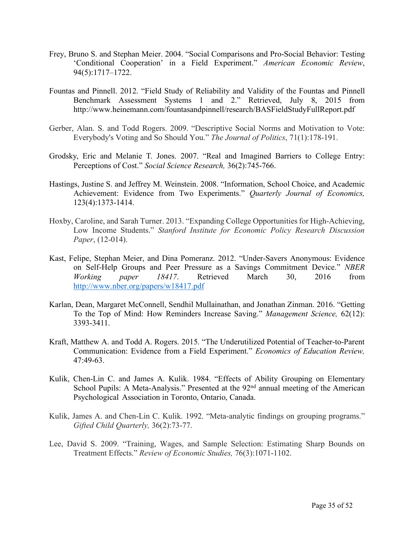- Frey, Bruno S. and Stephan Meier. 2004. "Social Comparisons and Pro-Social Behavior: Testing 'Conditional Cooperation' in a Field Experiment." *American Economic Review*, 94(5):1717–1722.
- Fountas and Pinnell. 2012. "Field Study of Reliability and Validity of the Fountas and Pinnell Benchmark Assessment Systems 1 and 2." Retrieved, July 8, 2015 from http://www.heinemann.com/fountasandpinnell/research/BASFieldStudyFullReport.pdf
- Gerber, Alan. S. and Todd Rogers. 2009. "Descriptive Social Norms and Motivation to Vote: Everybody's Voting and So Should You." *The Journal of Politics*, 71(1):178-191.
- Grodsky, Eric and Melanie T. Jones. 2007. "Real and Imagined Barriers to College Entry: Perceptions of Cost." *Social Science Research,* 36(2):745-766.
- Hastings, Justine S. and Jeffrey M. Weinstein. 2008. "Information, School Choice, and Academic Achievement: Evidence from Two Experiments." *Quarterly Journal of Economics,*  123(4):1373-1414.
- Hoxby, Caroline, and Sarah Turner. 2013. "Expanding College Opportunities for High-Achieving, Low Income Students." *Stanford Institute for Economic Policy Research Discussion Paper*, (12-014).
- Kast, Felipe, Stephan Meier, and Dina Pomeranz. 2012. "Under-Savers Anonymous: Evidence on Self-Help Groups and Peer Pressure as a Savings Commitment Device." *NBER Working paper 18417*. Retrieved March 30, 2016 from http://www.nber.org/papers/w18417.pdf
- Karlan, Dean, Margaret McConnell, Sendhil Mullainathan, and Jonathan Zinman. 2016. "Getting To the Top of Mind: How Reminders Increase Saving." *Management Science,* 62(12): 3393-3411.
- Kraft, Matthew A. and Todd A. Rogers. 2015. "The Underutilized Potential of Teacher-to-Parent Communication: Evidence from a Field Experiment." *Economics of Education Review,*  $47.49-63$
- Kulik, Chen-Lin C. and James A. Kulik. 1984. "Effects of Ability Grouping on Elementary School Pupils: A Meta-Analysis." Presented at the 92<sup>nd</sup> annual meeting of the American Psychological Association in Toronto, Ontario, Canada.
- Kulik, James A. and Chen-Lin C. Kulik. 1992. "Meta-analytic findings on grouping programs." *Gifted Child Quarterly,* 36(2):73-77.
- Lee, David S. 2009. "Training, Wages, and Sample Selection: Estimating Sharp Bounds on Treatment Effects." *Review of Economic Studies,* 76(3):1071-1102.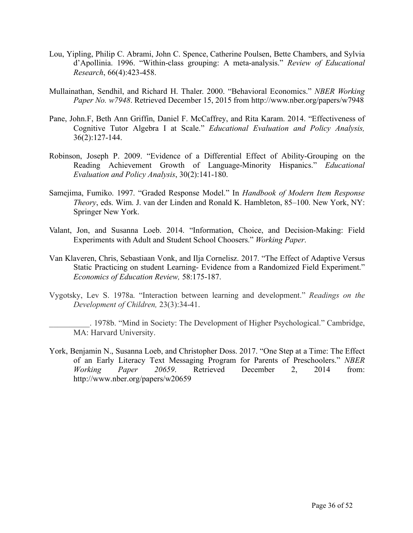- Lou, Yipling, Philip C. Abrami, John C. Spence, Catherine Poulsen, Bette Chambers, and Sylvia d'Apollinia. 1996. "Within-class grouping: A meta-analysis." *Review of Educational Research*, 66(4):423-458.
- Mullainathan, Sendhil, and Richard H. Thaler. 2000. "Behavioral Economics." *NBER Working Paper No. w7948*. Retrieved December 15, 2015 from http://www.nber.org/papers/w7948
- Pane, John.F, Beth Ann Griffin, Daniel F. McCaffrey, and Rita Karam. 2014. "Effectiveness of Cognitive Tutor Algebra I at Scale." *Educational Evaluation and Policy Analysis,* 36(2):127-144.
- Robinson, Joseph P. 2009. "Evidence of a Differential Effect of Ability-Grouping on the Reading Achievement Growth of Language-Minority Hispanics." *Educational Evaluation and Policy Analysis*, 30(2):141-180.
- Samejima, Fumiko. 1997. "Graded Response Model." In *Handbook of Modern Item Response Theory*, eds. Wim. J. van der Linden and Ronald K. Hambleton, 85–100. New York, NY: Springer New York.
- Valant, Jon, and Susanna Loeb. 2014. "Information, Choice, and Decision-Making: Field Experiments with Adult and Student School Choosers." *Working Paper*.
- Van Klaveren, Chris, Sebastiaan Vonk, and Ilja Cornelisz. 2017. "The Effect of Adaptive Versus Static Practicing on student Learning- Evidence from a Randomized Field Experiment." *Economics of Education Review,* 58:175-187.
- Vygotsky, Lev S. 1978a. "Interaction between learning and development." *Readings on the Development of Children,* 23(3):34-41.
	- \_\_\_\_\_\_\_\_\_\_. 1978b. "Mind in Society: The Development of Higher Psychological." Cambridge, MA: Harvard University.
- York, Benjamin N., Susanna Loeb, and Christopher Doss. 2017. "One Step at a Time: The Effect of an Early Literacy Text Messaging Program for Parents of Preschoolers." *NBER Working Paper 20659*. Retrieved December 2, 2014 from: http://www.nber.org/papers/w20659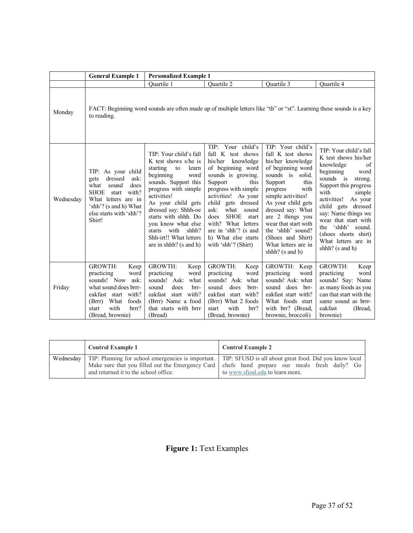|           | <b>General Example 1</b>                                                                                                                                                                     | <b>Personalized Example 1</b>                                                                                                                                                                                                                                                                                                            |                                                                                                                                                                                                                                                                                                                                                        |                                                                                                                                                                                                                                                                                                                                              |                                                                                                                                                                                                                                                                                                                                                       |  |
|-----------|----------------------------------------------------------------------------------------------------------------------------------------------------------------------------------------------|------------------------------------------------------------------------------------------------------------------------------------------------------------------------------------------------------------------------------------------------------------------------------------------------------------------------------------------|--------------------------------------------------------------------------------------------------------------------------------------------------------------------------------------------------------------------------------------------------------------------------------------------------------------------------------------------------------|----------------------------------------------------------------------------------------------------------------------------------------------------------------------------------------------------------------------------------------------------------------------------------------------------------------------------------------------|-------------------------------------------------------------------------------------------------------------------------------------------------------------------------------------------------------------------------------------------------------------------------------------------------------------------------------------------------------|--|
|           |                                                                                                                                                                                              | <b>Ouartile 1</b>                                                                                                                                                                                                                                                                                                                        | Quartile 2                                                                                                                                                                                                                                                                                                                                             | Quartile 3                                                                                                                                                                                                                                                                                                                                   | <b>Ouartile 4</b>                                                                                                                                                                                                                                                                                                                                     |  |
| Monday    | to reading.                                                                                                                                                                                  | FACT: Beginning word sounds are often made up of multiple letters like "th" or "st". Learning these sounds is a key                                                                                                                                                                                                                      |                                                                                                                                                                                                                                                                                                                                                        |                                                                                                                                                                                                                                                                                                                                              |                                                                                                                                                                                                                                                                                                                                                       |  |
| Wednesday | TIP: As your child<br>ask:<br>dressed<br>gets<br>what<br>sound<br>does<br>with?<br><b>SHOE</b><br>start<br>What letters are in<br>'shh'? (s and h) What<br>else starts with 'shh'?<br>Shirt! | TIP: Your child's fall<br>K test shows s/he is<br>learn<br>starting<br>to<br>beginning<br>word<br>sounds. Support this<br>progress with simple<br>activities!<br>As your child gets<br>dressed say: Shhh-oe<br>starts with shhh. Do<br>you know what else<br>with<br>shhh?<br>starts<br>Shh-irt!! What letters<br>are in shhh? (s and h) | TIP: Your child's<br>fall K test shows<br>his/her<br>knowledge<br>of beginning word<br>sounds is growing.<br>Support<br>this<br>progress with simple<br>activities! As your<br>child gets dressed<br>ask:<br>what<br>sound<br><b>SHOE</b><br>does<br>start<br>with? What letters<br>are in 'shh'? (s and<br>h) What else starts<br>with 'shh'? (Shirt) | TIP: Your child's<br>fall K test shows<br>his/her knowledge<br>of beginning word<br>sounds is solid.<br>Support<br>this<br>with<br>progress<br>simple activities!<br>As your child gets<br>dressed say: What<br>are 2 things you<br>wear that start with<br>the 'shhh' sound?<br>(Shoes and Shirt)<br>What letters are in<br>shhh? (s and h) | TIP: Your child's fall<br>K test shows his/her<br>knowledge<br>of<br>beginning<br>word<br>sounds is<br>strong.<br>Support this progress<br>with<br>simple<br>activities!<br>As your<br>child gets dressed<br>say: Name things we<br>wear that start with<br>'shhh'<br>sound.<br>the<br>(shoes shorts shirt)<br>What letters are in<br>shhh? (s and h) |  |
| Friday    | <b>GROWTH:</b><br>Keep<br>practicing<br>word<br>sounds! Now<br>ask:<br>what sound does brrr-<br>eakfast start with?<br>What<br>foods<br>(Brrr)<br>brrr?<br>with<br>start<br>(Bread, brownie) | <b>GROWTH:</b><br>Keep<br>practicing<br>word<br>sounds! Ask:<br>what<br>does<br>brr-<br>sound<br>start with?<br>eakfast<br>(Brrr) Name a food<br>that starts with brrr<br>(Bread)                                                                                                                                                        | <b>GROWTH:</b><br>Keep<br>practicing<br>word<br>sounds! Ask: what<br>sound<br>does<br>brrr-<br>eakfast start with?<br>(Brrr) What 2 foods<br>with<br>$\rm{brr?}$<br>start<br>(Bread, brownie)                                                                                                                                                          | GROWTH: Keep<br>practicing<br>word<br>sounds! Ask: what<br>sound<br>does<br>brr-<br>eakfast start with?<br>What foods start<br>with brr? (Bread,<br>brownie, broccoli)                                                                                                                                                                       | <b>GROWTH:</b><br>Keep<br>word<br>practicing<br>sounds! Say: Name<br>as many foods as you<br>can that start with the<br>same sound as brrr-<br>eakfast<br>(Bread,<br>brownie)                                                                                                                                                                         |  |

| <b>Control Example 1</b>              | <b>Control Example 2</b>                                                                                                                                                                                                                                        |
|---------------------------------------|-----------------------------------------------------------------------------------------------------------------------------------------------------------------------------------------------------------------------------------------------------------------|
| and returned it to the school office. | Wednesday   TIP: Planning for school emergencies is important.   TIP: SFUSD is all about great food. Did you know local<br>Make sure that you filled out the Emergency Card   chefs hand prepare our meals fresh daily? Go  <br>to www.sfusd.edu to learn more. |

# **Figure 1:** Text Examples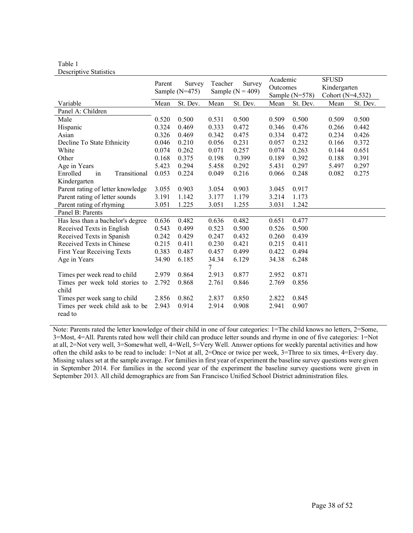| Table 1                       |
|-------------------------------|
| <b>Descriptive Statistics</b> |

|                                   | Parent | Survey           | Teacher | Survey               | Academic<br>Outcomes |                | <b>SFUSD</b><br>Kindergarten |          |
|-----------------------------------|--------|------------------|---------|----------------------|----------------------|----------------|------------------------------|----------|
|                                   |        | Sample $(N=475)$ |         | Sample ( $N = 409$ ) |                      | Sample (N=578) | Cohort (N=4,532)             |          |
| Variable                          | Mean   | St. Dev.         | Mean    | St. Dev.             | Mean                 | St. Dev.       | Mean                         | St. Dev. |
| Panel A: Children                 |        |                  |         |                      |                      |                |                              |          |
| Male                              | 0.520  | 0.500            | 0.531   | 0.500                | 0.509                | 0.500          | 0.509                        | 0.500    |
| Hispanic                          | 0.324  | 0.469            | 0.333   | 0.472                | 0.346                | 0.476          | 0.266                        | 0.442    |
| Asian                             | 0.326  | 0.469            | 0.342   | 0.475                | 0.334                | 0.472          | 0.234                        | 0.426    |
| Decline To State Ethnicity        | 0.046  | 0.210            | 0.056   | 0.231                | 0.057                | 0.232          | 0.166                        | 0.372    |
| White                             | 0.074  | 0.262            | 0.071   | 0.257                | 0.074                | 0.263          | 0.144                        | 0.651    |
| Other                             | 0.168  | 0.375            | 0.198   | 0.399                | 0.189                | 0.392          | 0.188                        | 0.391    |
| Age in Years                      | 5.423  | 0.294            | 5.458   | 0.292                | 5.431                | 0.297          | 5.497                        | 0.297    |
| Enrolled<br>Transitional<br>in    | 0.053  | 0.224            | 0.049   | 0.216                | 0.066                | 0.248          | 0.082                        | 0.275    |
| Kindergarten                      |        |                  |         |                      |                      |                |                              |          |
| Parent rating of letter knowledge | 3.055  | 0.903            | 3.054   | 0.903                | 3.045                | 0.917          |                              |          |
| Parent rating of letter sounds    | 3.191  | 1.142            | 3.177   | 1.179                | 3.214                | 1.173          |                              |          |
| Parent rating of rhyming          | 3.051  | 1.225            | 3.051   | 1.255                | 3.031                | 1.242          |                              |          |
| Panel B: Parents                  |        |                  |         |                      |                      |                |                              |          |
| Has less than a bachelor's degree | 0.636  | 0.482            | 0.636   | 0.482                | 0.651                | 0.477          |                              |          |
| Received Texts in English         | 0.543  | 0.499            | 0.523   | 0.500                | 0.526                | 0.500          |                              |          |
| Received Texts in Spanish         | 0.242  | 0.429            | 0.247   | 0.432                | 0.260                | 0.439          |                              |          |
| Received Texts in Chinese         | 0.215  | 0.411            | 0.230   | 0.421                | 0.215                | 0.411          |                              |          |
| <b>First Year Receiving Texts</b> | 0.383  | 0.487            | 0.457   | 0.499                | 0.422                | 0.494          |                              |          |
| Age in Years                      | 34.90  | 6.185            | 34.34   | 6.129                | 34.38                | 6.248          |                              |          |
|                                   |        |                  | 7       |                      |                      |                |                              |          |
| Times per week read to child      | 2.979  | 0.864            | 2.913   | 0.877                | 2.952                | 0.871          |                              |          |
| Times per week told stories to    | 2.792  | 0.868            | 2.761   | 0.846                | 2.769                | 0.856          |                              |          |
| child                             |        |                  |         |                      |                      |                |                              |          |
| Times per week sang to child      | 2.856  | 0.862            | 2.837   | 0.850                | 2.822                | 0.845          |                              |          |
| Times per week child ask to be    | 2.943  | 0.914            | 2.914   | 0.908                | 2.941                | 0.907          |                              |          |
| read to                           |        |                  |         |                      |                      |                |                              |          |

Note: Parents rated the letter knowledge of their child in one of four categories: 1=The child knows no letters, 2=Some, 3=Most, 4=All. Parents rated how well their child can produce letter sounds and rhyme in one of five categories: 1=Not at all, 2=Not very well, 3=Somewhat well, 4=Well, 5=Very Well. Answer options for weekly parental activities and how often the child asks to be read to include: 1=Not at all, 2=Once or twice per week, 3=Three to six times, 4=Every day. Missing values set at the sample average. For families in first year of experiment the baseline survey questions were given in September 2014. For families in the second year of the experiment the baseline survey questions were given in September 2013. All child demographics are from San Francisco Unified School District administration files.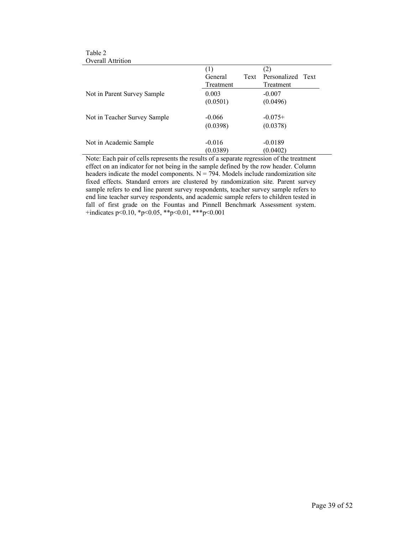| Table 2 |                          |
|---------|--------------------------|
|         | <b>Overall Attrition</b> |

| $\sim$ , $\sim$ . $\sim$ . The set $\sim$ |           |      |                   |  |
|-------------------------------------------|-----------|------|-------------------|--|
|                                           | (1)       |      | (2)               |  |
|                                           | General   | Text | Personalized Text |  |
|                                           | Treatment |      | Treatment         |  |
| Not in Parent Survey Sample               | 0.003     |      | $-0.007$          |  |
|                                           | (0.0501)  |      | (0.0496)          |  |
| Not in Teacher Survey Sample              | $-0.066$  |      | $-0.075+$         |  |
|                                           | (0.0398)  |      | (0.0378)          |  |
| Not in Academic Sample                    | $-0.016$  |      | $-0.0189$         |  |
|                                           | (0.0389)  |      | (0.0402)          |  |

Note: Each pair of cells represents the results of a separate regression of the treatment effect on an indicator for not being in the sample defined by the row header. Column headers indicate the model components.  $N = 794$ . Models include randomization site fixed effects. Standard errors are clustered by randomization site. Parent survey sample refers to end line parent survey respondents, teacher survey sample refers to end line teacher survey respondents, and academic sample refers to children tested in fall of first grade on the Fountas and Pinnell Benchmark Assessment system. +indicates p<0.10, \*p<0.05, \*\*p<0.01, \*\*\*p<0.001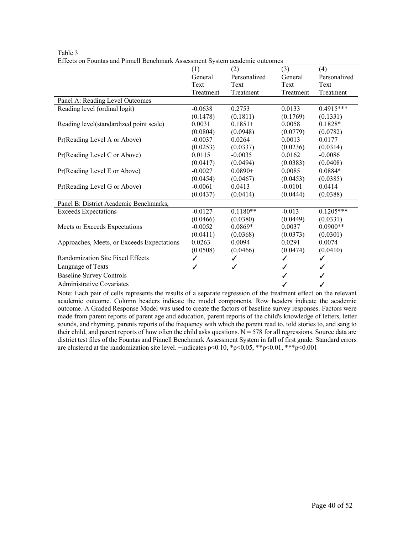|                                            | (1)          | (2)          | (3)       | (4)          |
|--------------------------------------------|--------------|--------------|-----------|--------------|
|                                            | General      | Personalized | General   | Personalized |
|                                            | Text         | Text         | Text      | Text         |
|                                            | Treatment    | Treatment    | Treatment | Treatment    |
| Panel A: Reading Level Outcomes            |              |              |           |              |
| Reading level (ordinal logit)              | $-0.0638$    | 0.2753       | 0.0133    | $0.4915***$  |
|                                            | (0.1478)     | (0.1811)     | (0.1769)  | (0.1331)     |
| Reading level(standardized point scale)    | 0.0031       | $0.1851+$    | 0.0058    | $0.1828*$    |
|                                            | (0.0804)     | (0.0948)     | (0.0779)  | (0.0782)     |
| Pr(Reading Level A or Above)               | $-0.0037$    | 0.0264       | 0.0013    | 0.0177       |
|                                            | (0.0253)     | (0.0337)     | (0.0236)  | (0.0314)     |
| Pr(Reading Level C or Above)               | 0.0115       | $-0.0035$    | 0.0162    | $-0.0086$    |
|                                            | (0.0417)     | (0.0494)     | (0.0383)  | (0.0408)     |
| Pr(Reading Level E or Above)               | $-0.0027$    | $0.0890 +$   | 0.0085    | $0.0884*$    |
|                                            | (0.0454)     | (0.0467)     | (0.0453)  | (0.0385)     |
| Pr(Reading Level G or Above)               | $-0.0061$    | 0.0413       | $-0.0101$ | 0.0414       |
|                                            | (0.0437)     | (0.0414)     | (0.0444)  | (0.0388)     |
| Panel B: District Academic Benchmarks,     |              |              |           |              |
| <b>Exceeds Expectations</b>                | $-0.0127$    | $0.1180**$   | $-0.013$  | $0.1205***$  |
|                                            | (0.0466)     | (0.0380)     | (0.0449)  | (0.0331)     |
| Meets or Exceeds Expectations              | $-0.0052$    | $0.0869*$    | 0.0037    | $0.0900**$   |
|                                            | (0.0411)     | (0.0368)     | (0.0373)  | (0.0301)     |
| Approaches, Meets, or Exceeds Expectations | 0.0263       | 0.0094       | 0.0291    | 0.0074       |
|                                            | (0.0508)     | (0.0466)     | (0.0474)  | (0.0410)     |
| Randomization Site Fixed Effects           | ✓            |              | ✓         |              |
| Language of Texts                          | $\checkmark$ | $\checkmark$ | ✓         |              |
| <b>Baseline Survey Controls</b>            |              |              |           |              |
| <b>Administrative Covariates</b>           |              |              |           |              |

Table 3 Effects on Fountas and Pinnell Benchmark Assessment System academic outcomes

Note: Each pair of cells represents the results of a separate regression of the treatment effect on the relevant academic outcome. Column headers indicate the model components. Row headers indicate the academic outcome. A Graded Response Model was used to create the factors of baseline survey responses. Factors were made from parent reports of parent age and education, parent reports of the child's knowledge of letters, letter sounds, and rhyming, parents reports of the frequency with which the parent read to, told stories to, and sang to their child, and parent reports of how often the child asks questions.  $N = 578$  for all regressions. Source data are district test files of the Fountas and Pinnell Benchmark Assessment System in fall of first grade. Standard errors are clustered at the randomization site level. +indicates  $p<0.10$ , \* $p<0.05$ , \*\* $p<0.01$ , \*\*\* $p<0.001$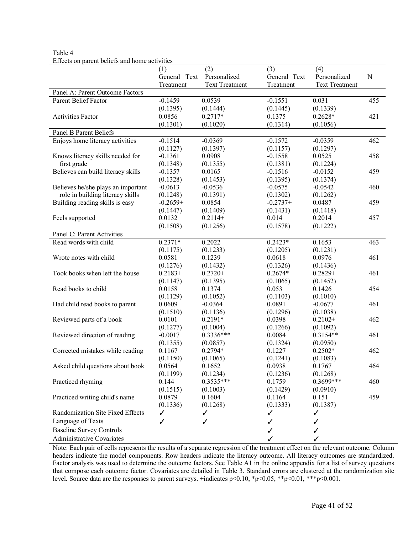| L'INCOLO UN PATCHE DONOTO AND NOMIC ACHIVIERS |              | (2)                   | (3)                | (4)                   |     |
|-----------------------------------------------|--------------|-----------------------|--------------------|-----------------------|-----|
|                                               | (1)          |                       |                    |                       |     |
|                                               | General Text | Personalized          | General Text       | Personalized          | N   |
|                                               | Treatment    | <b>Text Treatment</b> | Treatment          | <b>Text Treatment</b> |     |
| Panel A: Parent Outcome Factors               |              |                       |                    |                       |     |
| Parent Belief Factor                          | $-0.1459$    | 0.0539                | $-0.1551$          | 0.031                 | 455 |
|                                               | (0.1395)     | (0.1444)              | (0.1445)           | (0.1339)              |     |
| Activities Factor                             | 0.0856       | $0.2717*$             | 0.1375             | $0.2628*$             | 421 |
|                                               | (0.1301)     | (0.1020)              | (0.1314)           | (0.1056)              |     |
| Panel B Parent Beliefs                        |              |                       |                    |                       |     |
| Enjoys home literacy activities               | $-0.1514$    | $-0.0369$             | $-0.1572$          | $-0.0359$             | 462 |
|                                               | (0.1127)     | (0.1397)              | (0.1157)           | (0.1297)              |     |
| Knows literacy skills needed for              | $-0.1361$    | 0.0908                | $-0.1558$          | 0.0525                | 458 |
| first grade                                   | (0.1348)     | (0.1355)              | (0.1381)           | (0.1224)              |     |
| Believes can build literacy skills            | $-0.1357$    | 0.0165                | $-0.1516$          | $-0.0152$             | 459 |
|                                               | (0.1328)     | (0.1453)              | (0.1395)           | (0.1374)              |     |
| Believes he/she plays an important            | $-0.0613$    | $-0.0536$             | $-0.0575$          | $-0.0542$             | 460 |
| role in building literacy skills              | (0.1248)     | (0.1391)              | (0.1302)           | (0.1262)              |     |
| Building reading skills is easy               | $-0.2659+$   | 0.0854                | $-0.2737+$         | 0.0487                | 459 |
|                                               | (0.1447)     | (0.1409)              | (0.1431)           | (0.1418)              |     |
| Feels supported                               | 0.0132       | $0.2114+$             | 0.014              | 0.2014                | 457 |
|                                               | (0.1508)     | (0.1256)              | (0.1578)           | (0.1222)              |     |
| Panel C: Parent Activities                    |              |                       |                    |                       |     |
| Read words with child                         | $0.2371*$    | 0.2022                | $0.2423*$          | 0.1653                | 463 |
|                                               | (0.1175)     | (0.1233)              | (0.1205)           | (0.1231)              |     |
| Wrote notes with child                        | 0.0581       | 0.1239                | 0.0618             | 0.0976                | 461 |
|                                               | (0.1276)     | (0.1432)              | (0.1326)           | (0.1436)              |     |
| Took books when left the house                | $0.2183+$    | $0.2720+$             | $0.2674*$          | $0.2829+$             | 461 |
|                                               | (0.1147)     | (0.1395)              | (0.1065)           | (0.1452)              |     |
| Read books to child                           | 0.0158       | 0.1374                | 0.053              | 0.1426                | 454 |
|                                               | (0.1129)     | (0.1052)              | (0.1103)           | (0.1010)              |     |
| Had child read books to parent                | 0.0609       | $-0.0364$             | 0.0891             | $-0.0677$             | 461 |
|                                               | (0.1510)     | (0.1136)              | (0.1296)           | (0.1038)              |     |
| Reviewed parts of a book                      | 0.0101       | $0.2191*$             | 0.0398             | $0.2102 +$            | 462 |
|                                               | (0.1277)     | (0.1004)              | (0.1266)           | (0.1092)              |     |
| Reviewed direction of reading                 | $-0.0017$    | 0.3336***             | 0.0084             | $0.3154**$            | 461 |
|                                               | (0.1355)     | (0.0857)              | (0.1324)           | (0.0950)              |     |
| Corrected mistakes while reading              | 0.1167       | $0.2794*$             | 0.1227             | $0.2502*$             | 462 |
|                                               | (0.1150)     | (0.1065)              | (0.1241)           | (0.1083)              |     |
| Asked child questions about book              | 0.0564       |                       |                    |                       | 464 |
|                                               | (0.1199)     | 0.1652<br>(0.1234)    | 0.0938<br>(0.1236) | 0.1767<br>(0.1268)    |     |
| Practiced rhyming                             | 0.144        | $0.3535***$           |                    | 0.3699***             | 460 |
|                                               |              |                       | 0.1759             |                       |     |
|                                               | (0.1515)     | (0.1003)              | (0.1429)           | (0.0910)              |     |
| Practiced writing child's name                | 0.0879       | 0.1604                | 0.1164             | 0.151                 | 459 |
|                                               | (0.1336)     | (0.1268)              | (0.1333)           | (0.1387)              |     |
| Randomization Site Fixed Effects              | ✓            | $\checkmark$          | ✓                  | ✓                     |     |
| Language of Texts                             | $\checkmark$ | $\checkmark$          | ✓                  | ✓                     |     |
| <b>Baseline Survey Controls</b>               |              |                       | ✓                  | ✓                     |     |
| <b>Administrative Covariates</b>              |              |                       |                    |                       |     |

Table 4 Effects on parent beliefs and home activities

Note: Each pair of cells represents the results of a separate regression of the treatment effect on the relevant outcome. Column headers indicate the model components. Row headers indicate the literacy outcome. All literacy outcomes are standardized. Factor analysis was used to determine the outcome factors. See Table A1 in the online appendix for a list of survey questions that compose each outcome factor. Covariates are detailed in Table 3. Standard errors are clustered at the randomization site level. Source data are the responses to parent surveys. +indicates p<0.10, \*p<0.05, \*\*p<0.01, \*\*\*p<0.001.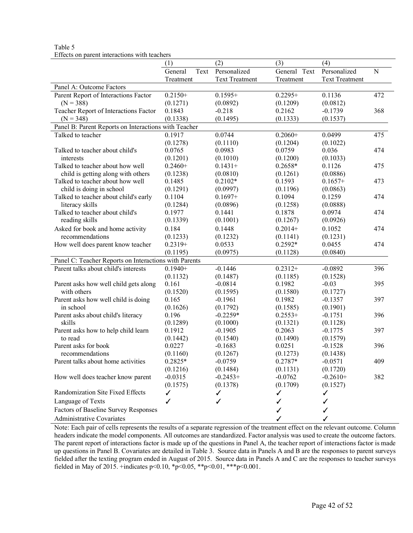Table 5 Effects on parent interactions with teachers

|                                                       | (1)             | (2)                   | (3)          | (4)                   |     |
|-------------------------------------------------------|-----------------|-----------------------|--------------|-----------------------|-----|
|                                                       | Text<br>General | Personalized          | General Text | Personalized          | N   |
|                                                       | Treatment       | <b>Text Treatment</b> | Treatment    | <b>Text Treatment</b> |     |
| Panel A: Outcome Factors                              |                 |                       |              |                       |     |
| Parent Report of Interactions Factor                  | $0.2150+$       | $0.1595+$             | $0.2295+$    | 0.1136                | 472 |
| $(N = 388)$                                           | (0.1271)        | (0.0892)              | (0.1209)     | (0.0812)              |     |
| Teacher Report of Interactions Factor                 | 0.1843          | $-0.218$              | 0.2162       | $-0.1739$             | 368 |
| $(N = 348)$                                           | (0.1338)        | (0.1495)              | (0.1333)     | (0.1537)              |     |
| Panel B: Parent Reports on Interactions with Teacher  |                 |                       |              |                       |     |
| Talked to teacher                                     | 0.1917          | 0.0744                | $0.2060+$    | 0.0499                | 475 |
|                                                       | (0.1278)        | (0.1110)              | (0.1204)     | (0.1022)              |     |
| Talked to teacher about child's                       | 0.0765          | 0.0983                | 0.0759       | 0.036                 | 474 |
| interests                                             | (0.1201)        | (0.1010)              | (0.1200)     | (0.1033)              |     |
| Talked to teacher about how well                      | $0.2460+$       | $0.1431 +$            | 0.2658*      | 0.1126                | 475 |
| child is getting along with others                    | (0.1238)        | (0.0810)              | (0.1261)     | (0.0886)              |     |
| Talked to teacher about how well                      | 0.1485          | $0.2102*$             | 0.1593       | $0.1657+$             | 473 |
| child is doing in school                              | (0.1291)        | (0.0997)              | (0.1196)     | (0.0863)              |     |
| Talked to teacher about child's early                 | 0.1104          | $0.1697+$             | 0.1094       | 0.1259                | 474 |
| literacy skills                                       | (0.1284)        | (0.0896)              | (0.1258)     | (0.0888)              |     |
| Talked to teacher about child's                       | 0.1977          | 0.1441                | 0.1878       | 0.0974                | 474 |
| reading skills                                        | (0.1339)        | (0.1001)              | (0.1267)     | (0.0926)              |     |
| Asked for book and home activity                      | 0.184           | 0.1448                | $0.2014+$    | 0.1052                | 474 |
| recommendations                                       | (0.1233)        | (0.1232)              | (0.1141)     | (0.1231)              |     |
| How well does parent know teacher                     | $0.2319+$       | 0.0533                | $0.2592*$    | 0.0455                | 474 |
|                                                       | (0.1195)        | (0.0975)              | (0.1128)     | (0.0840)              |     |
| Panel C: Teacher Reports on Interactions with Parents |                 |                       |              |                       |     |
| Parent talks about child's interests                  | $0.1940+$       | $-0.1446$             | $0.2312+$    | $-0.0892$             | 396 |
|                                                       | (0.1132)        | (0.1487)              | (0.1185)     | (0.1528)              |     |
| Parent asks how well child gets along                 | 0.161           | $-0.0814$             | 0.1982       | $-0.03$               | 395 |
| with others                                           | (0.1520)        | (0.1595)              | (0.1580)     | (0.1727)              |     |
| Parent asks how well child is doing                   | 0.165           | $-0.1961$             | 0.1982       | $-0.1357$             | 397 |
| in school                                             | (0.1626)        | (0.1792)              | (0.1585)     | (0.1901)              |     |
| Parent asks about child's literacy                    | 0.196           | $-0.2259*$            | $0.2553+$    | $-0.1751$             | 396 |
| skills                                                | (0.1289)        | (0.1000)              | (0.1321)     | (0.1128)              |     |
| Parent asks how to help child learn                   | 0.1912          | $-0.1905$             | 0.2063       | $-0.1775$             | 397 |
| to read                                               | (0.1442)        | (0.1540)              | (0.1490)     | (0.1579)              |     |
| Parent asks for book                                  | 0.0227          | $-0.1683$             | 0.0251       | $-0.1528$             | 396 |
| recommendations                                       | (0.1160)        | (0.1267)              | (0.1273)     | (0.1438)              |     |
| Parent talks about home activities                    | $0.2825*$       | $-0.0759$             | 0.2787*      | $-0.0571$             | 409 |
|                                                       | (0.1216)        | (0.1484)              | (0.1131)     | (0.1720)              |     |
| How well does teacher know parent                     | $-0.0315$       | $-0.2453+$            | $-0.0762$    | $-0.2610+$            | 382 |
|                                                       | (0.1575)        | (0.1378)              | (0.1709)     | (0.1527)              |     |
| Randomization Site Fixed Effects                      | ✓               | ✓                     | ✓            | ✓                     |     |
| Language of Texts                                     | ✓               | ✓                     |              |                       |     |
| Factors of Baseline Survey Responses                  |                 |                       |              |                       |     |
| <b>Administrative Covariates</b>                      |                 |                       |              |                       |     |

Note: Each pair of cells represents the results of a separate regression of the treatment effect on the relevant outcome. Column headers indicate the model components. All outcomes are standardized. Factor analysis was used to create the outcome factors. The parent report of interactions factor is made up of the questions in Panel A, the teacher report of interactions factor is made up questions in Panel B. Covariates are detailed in Table 3. Source data in Panels A and B are the responses to parent surveys fielded after the texting program ended in August of 2015. Source data in Panels A and C are the responses to teacher surveys fielded in May of 2015. +indicates p<0.10, \*p<0.05, \*\*p<0.01, \*\*\*p<0.001.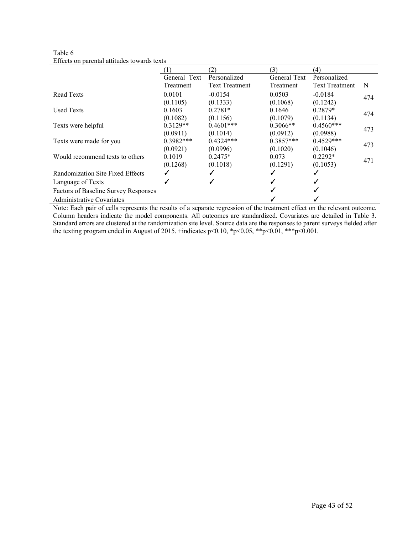| Table 6 |                                             |  |
|---------|---------------------------------------------|--|
|         | Effects on parental attitudes towards texts |  |

| Effects on parental attitudes towards texts |              |                       |              |                       |     |
|---------------------------------------------|--------------|-----------------------|--------------|-----------------------|-----|
|                                             |              | (2)                   | (3)          | (4)                   |     |
|                                             | General Text | Personalized          | General Text | Personalized          |     |
|                                             | Treatment    | <b>Text Treatment</b> | Treatment    | <b>Text Treatment</b> | N   |
| <b>Read Texts</b>                           | 0.0101       | $-0.0154$             | 0.0503       | $-0.0184$             | 474 |
|                                             | (0.1105)     | (0.1333)              | (0.1068)     | (0.1242)              |     |
| <b>Used Texts</b>                           | 0.1603       | $0.2781*$             | 0.1646       | $0.2879*$             | 474 |
|                                             | (0.1082)     | (0.1156)              | (0.1079)     | (0.1134)              |     |
| Texts were helpful                          | $0.3129**$   | $0.4601***$           | $0.3066**$   | $0.4560***$           | 473 |
|                                             | (0.0911)     | (0.1014)              | (0.0912)     | (0.0988)              |     |
| Texts were made for you                     | $0.3982***$  | $0.4324***$           | $0.3857***$  | $0.4529***$           | 473 |
|                                             | (0.0921)     | (0.0996)              | (0.1020)     | (0.1046)              |     |
| Would recommend texts to others             | 0.1019       | $0.2475*$             | 0.073        | $0.2292*$             | 471 |
|                                             | (0.1268)     | (0.1018)              | (0.1291)     | (0.1053)              |     |
| Randomization Site Fixed Effects            |              |                       |              |                       |     |
| Language of Texts                           | ✔            | ✓                     | ✓            | √                     |     |
| <b>Factors of Baseline Survey Responses</b> |              | ✔                     | ✓            |                       |     |
| <b>Administrative Covariates</b>            |              |                       |              |                       |     |

Note: Each pair of cells represents the results of a separate regression of the treatment effect on the relevant outcome. Column headers indicate the model components. All outcomes are standardized. Covariates are detailed in Table 3. Standard errors are clustered at the randomization site level. Source data are the responses to parent surveys fielded after the texting program ended in August of 2015. +indicates  $p<0.10$ ,  $\sp{\ast}p<0.05$ ,  $\sp{\ast}p<0.01$ ,  $\sp{\ast} \sp{\ast}p<0.001$ .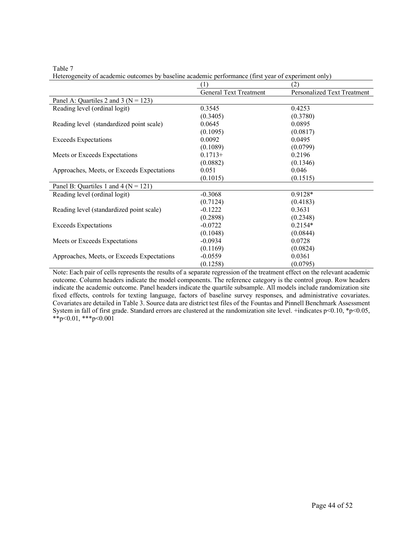Table 7

Heterogeneity of academic outcomes by baseline academic performance (first year of experiment only)

|                                            | (1)                           | (2)                         |
|--------------------------------------------|-------------------------------|-----------------------------|
|                                            | <b>General Text Treatment</b> | Personalized Text Treatment |
| Panel A: Quartiles 2 and 3 ( $N = 123$ )   |                               |                             |
| Reading level (ordinal logit)              | 0.3545                        | 0.4253                      |
|                                            | (0.3405)                      | (0.3780)                    |
| Reading level (standardized point scale)   | 0.0645                        | 0.0895                      |
|                                            | (0.1095)                      | (0.0817)                    |
| <b>Exceeds Expectations</b>                | 0.0092                        | 0.0495                      |
|                                            | (0.1089)                      | (0.0799)                    |
| Meets or Exceeds Expectations              | $0.1713+$                     | 0.2196                      |
|                                            | (0.0882)                      | (0.1346)                    |
| Approaches, Meets, or Exceeds Expectations | 0.051                         | 0.046                       |
|                                            | (0.1015)                      | (0.1515)                    |
| Panel B: Quartiles 1 and 4 ( $N = 121$ )   |                               |                             |
| Reading level (ordinal logit)              | $-0.3068$                     | $0.9128*$                   |
|                                            | (0.7124)                      | (0.4183)                    |
| Reading level (standardized point scale)   | $-0.1222$                     | 0.3631                      |
|                                            | (0.2898)                      | (0.2348)                    |
| <b>Exceeds</b> Expectations                | $-0.0722$                     | $0.2154*$                   |
|                                            | (0.1048)                      | (0.0844)                    |
| Meets or Exceeds Expectations              | $-0.0934$                     | 0.0728                      |
|                                            | (0.1169)                      | (0.0824)                    |
| Approaches, Meets, or Exceeds Expectations | $-0.0559$                     | 0.0361                      |
|                                            | (0.1258)                      | (0.0795)                    |

Note: Each pair of cells represents the results of a separate regression of the treatment effect on the relevant academic outcome. Column headers indicate the model components. The reference category is the control group. Row headers indicate the academic outcome. Panel headers indicate the quartile subsample. All models include randomization site fixed effects, controls for texting language, factors of baseline survey responses, and administrative covariates. Covariates are detailed in Table 3. Source data are district test files of the Fountas and Pinnell Benchmark Assessment System in fall of first grade. Standard errors are clustered at the randomization site level. +indicates p<0.10, \*p<0.05, \*\*p<0.01, \*\*\*p<0.001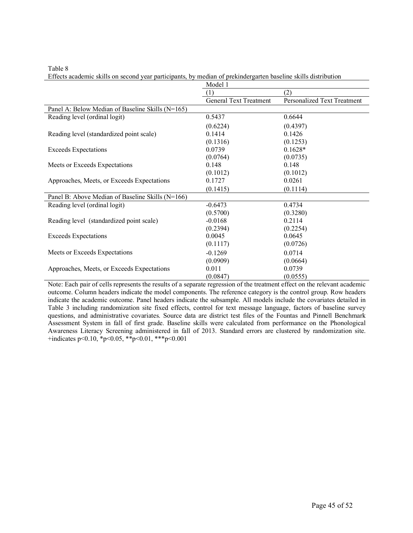#### Table 8

Effects academic skills on second year participants, by median of prekindergarten baseline skills distribution

|                                                  | Model 1                       |                             |  |  |  |
|--------------------------------------------------|-------------------------------|-----------------------------|--|--|--|
|                                                  | (1)                           | (2)                         |  |  |  |
|                                                  | <b>General Text Treatment</b> | Personalized Text Treatment |  |  |  |
| Panel A: Below Median of Baseline Skills (N=165) |                               |                             |  |  |  |
| Reading level (ordinal logit)                    | 0.5437                        | 0.6644                      |  |  |  |
|                                                  | (0.6224)                      | (0.4397)                    |  |  |  |
| Reading level (standardized point scale)         | 0.1414                        | 0.1426                      |  |  |  |
|                                                  | (0.1316)                      | (0.1253)                    |  |  |  |
| <b>Exceeds Expectations</b>                      | 0.0739                        | $0.1628*$                   |  |  |  |
|                                                  | (0.0764)                      | (0.0735)                    |  |  |  |
| Meets or Exceeds Expectations                    | 0.148                         | 0.148                       |  |  |  |
|                                                  | (0.1012)                      | (0.1012)                    |  |  |  |
| Approaches, Meets, or Exceeds Expectations       | 0.1727                        | 0.0261                      |  |  |  |
|                                                  | (0.1415)                      | (0.1114)                    |  |  |  |
| Panel B: Above Median of Baseline Skills (N=166) |                               |                             |  |  |  |
| Reading level (ordinal logit)                    | $-0.6473$                     | 0.4734                      |  |  |  |
|                                                  | (0.5700)                      | (0.3280)                    |  |  |  |
| Reading level (standardized point scale)         | $-0.0168$                     | 0.2114                      |  |  |  |
|                                                  | (0.2394)                      | (0.2254)                    |  |  |  |
| <b>Exceeds</b> Expectations                      | 0.0045                        | 0.0645                      |  |  |  |
|                                                  | (0.1117)                      | (0.0726)                    |  |  |  |
| Meets or Exceeds Expectations                    | $-0.1269$                     | 0.0714                      |  |  |  |
|                                                  | (0.0909)                      | (0.0664)                    |  |  |  |
| Approaches, Meets, or Exceeds Expectations       | 0.011                         | 0.0739                      |  |  |  |
|                                                  | (0.0847)                      | (0.0555)                    |  |  |  |

Note: Each pair of cells represents the results of a separate regression of the treatment effect on the relevant academic outcome. Column headers indicate the model components. The reference category is the control group. Row headers indicate the academic outcome. Panel headers indicate the subsample. All models include the covariates detailed in Table 3 including randomization site fixed effects, control for text message language, factors of baseline survey questions, and administrative covariates. Source data are district test files of the Fountas and Pinnell Benchmark Assessment System in fall of first grade. Baseline skills were calculated from performance on the Phonological Awareness Literacy Screening administered in fall of 2013. Standard errors are clustered by randomization site. +indicates p<0.10, \*p<0.05, \*\*p<0.01, \*\*\*p<0.001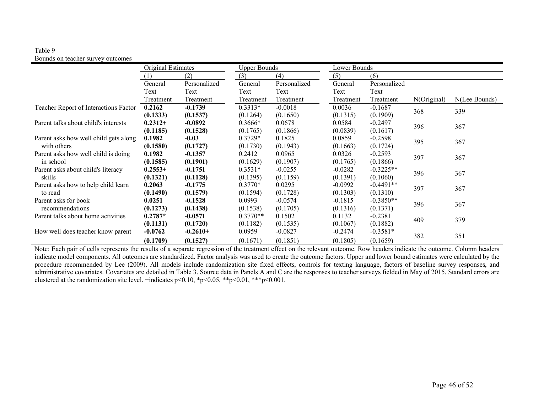#### Table 9 Bounds on teacher survey outcomes

| $50$ and $50$ and $50$ and $50$ and $50$ and $50$ | Original Estimates |              | <b>Upper Bounds</b> |              | Lower Bounds |              |             |               |
|---------------------------------------------------|--------------------|--------------|---------------------|--------------|--------------|--------------|-------------|---------------|
|                                                   |                    |              |                     |              |              |              |             |               |
|                                                   | (1)                | (2)          | (3)                 | (4)          | (5)          | (6)          |             |               |
|                                                   | General            | Personalized | General             | Personalized | General      | Personalized |             |               |
|                                                   | Text               | Text         | Text                | Text         | Text         | Text         |             |               |
|                                                   | Treatment          | Treatment    | Treatment           | Treatment    | Treatment    | Treatment    | N(Original) | N(Lee Bounds) |
| Teacher Report of Interactions Factor             | 0.2162             | $-0.1739$    | $0.3313*$           | $-0.0018$    | 0.0036       | $-0.1687$    | 368         | 339           |
|                                                   | (0.1333)           | (0.1537)     | (0.1264)            | (0.1650)     | (0.1315)     | (0.1909)     |             |               |
| Parent talks about child's interests              | $0.2312 +$         | $-0.0892$    | $0.3666*$           | 0.0678       | 0.0584       | $-0.2497$    |             | 367           |
|                                                   | (0.1185)           | (0.1528)     | (0.1765)            | (0.1866)     | (0.0839)     | (0.1617)     | 396         |               |
| Parent asks how well child gets along             | 0.1982             | $-0.03$      | $0.3729*$           | 0.1825       | 0.0859       | $-0.2598$    | 395         | 367           |
| with others                                       | (0.1580)           | (0.1727)     | (0.1730)            | (0.1943)     | (0.1663)     | (0.1724)     |             |               |
| Parent asks how well child is doing               | 0.1982             | $-0.1357$    | 0.2412              | 0.0965       | 0.0326       | $-0.2593$    |             | 367           |
| in school                                         | (0.1585)           | (0.1901)     | (0.1629)            | (0.1907)     | (0.1765)     | (0.1866)     | 397         |               |
| Parent asks about child's literacy                | $0.2553+$          | $-0.1751$    | $0.3531*$           | $-0.0255$    | $-0.0282$    | $-0.3225**$  | 396         | 367           |
| skills                                            | (0.1321)           | (0.1128)     | (0.1395)            | (0.1159)     | (0.1391)     | (0.1060)     |             |               |
| Parent asks how to help child learn               | 0.2063             | $-0.1775$    | $0.3770*$           | 0.0295       | $-0.0992$    | $-0.4491**$  | 397         |               |
| to read                                           | (0.1490)           | (0.1579)     | (0.1594)            | (0.1728)     | (0.1303)     | (0.1310)     |             | 367           |
| Parent asks for book                              | 0.0251             | $-0.1528$    | 0.0993              | $-0.0574$    | $-0.1815$    | $-0.3850**$  | 396         |               |
| recommendations                                   | (0.1273)           | (0.1438)     | (0.1538)            | (0.1705)     | (0.1316)     | (0.1371)     |             | 367           |
| Parent talks about home activities                | $0.2787*$          | $-0.0571$    | $0.3770**$          | 0.1502       | 0.1132       | $-0.2381$    |             |               |
|                                                   | (0.1131)           | (0.1720)     | (0.1182)            | (0.1535)     | (0.1067)     | (0.1882)     | 409         | 379           |
| How well does teacher know parent                 | $-0.0762$          | $-0.2610+$   | 0.0959              | $-0.0827$    | $-0.2474$    | $-0.3581*$   |             |               |
|                                                   | (0.1709)           | (0.1527)     | (0.1671)            | (0.1851)     | (0.1805)     | (0.1659)     | 382         | 351           |

Note: Each pair of cells represents the results of a separate regression of the treatment effect on the relevant outcome. Row headers indicate the outcome. Column headers indicate model components. All outcomes are standardized. Factor analysis was used to create the outcome factors. Upper and lower bound estimates were calculated by the procedure recommended by Lee (2009). All models include randomization site fixed effects, controls for texting language, factors of baseline survey responses, and administrative covariates. Covariates are detailed in Table 3. Source data in Panels A and C are the responses to teacher surveys fielded in May of 2015. Standard errors are clustered at the randomization site level. +indicates p<0.10, \*p<0.05, \*\*p<0.01, \*\*\*p<0.001.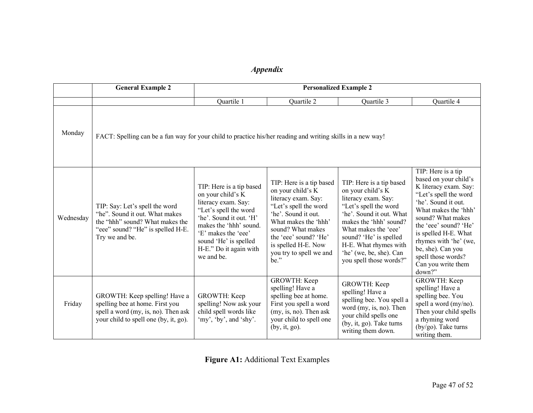| <i><b>Appendix</b></i> |
|------------------------|
|------------------------|

|           | <b>General Example 2</b>                                                                                                                                   | <b>Personalized Example 2</b>                                                                                                                                                                                                              |                                                                                                                                                                                                                                                      |                                                                                                                                                                                                                                                                                      |                                                                                                                                                                                                                                                                                                                        |  |  |
|-----------|------------------------------------------------------------------------------------------------------------------------------------------------------------|--------------------------------------------------------------------------------------------------------------------------------------------------------------------------------------------------------------------------------------------|------------------------------------------------------------------------------------------------------------------------------------------------------------------------------------------------------------------------------------------------------|--------------------------------------------------------------------------------------------------------------------------------------------------------------------------------------------------------------------------------------------------------------------------------------|------------------------------------------------------------------------------------------------------------------------------------------------------------------------------------------------------------------------------------------------------------------------------------------------------------------------|--|--|
|           |                                                                                                                                                            | Quartile 1                                                                                                                                                                                                                                 | Quartile 2                                                                                                                                                                                                                                           | Quartile 3                                                                                                                                                                                                                                                                           | Quartile 4                                                                                                                                                                                                                                                                                                             |  |  |
| Monday    | FACT: Spelling can be a fun way for your child to practice his/her reading and writing skills in a new way!                                                |                                                                                                                                                                                                                                            |                                                                                                                                                                                                                                                      |                                                                                                                                                                                                                                                                                      |                                                                                                                                                                                                                                                                                                                        |  |  |
| Wednesday | TIP: Say: Let's spell the word<br>"he". Sound it out. What makes<br>the "hhh" sound? What makes the<br>"eee" sound? "He" is spelled H-E.<br>Try we and be. | TIP: Here is a tip based<br>on your child's K<br>literacy exam. Say:<br>"Let's spell the word<br>'he'. Sound it out. 'H'<br>makes the 'hhh' sound.<br>'E' makes the 'eee'<br>sound 'He' is spelled<br>H-E." Do it again with<br>we and be. | TIP: Here is a tip based<br>on your child's K<br>literacy exam. Say:<br>"Let's spell the word<br>'he'. Sound it out.<br>What makes the 'hhh'<br>sound? What makes<br>the 'eee' sound? 'He'<br>is spelled H-E. Now<br>you try to spell we and<br>be." | TIP: Here is a tip based<br>on your child's K<br>literacy exam. Say:<br>"Let's spell the word<br>'he'. Sound it out. What<br>makes the 'hhh' sound?<br>What makes the 'eee'<br>sound? 'He' is spelled<br>H-E. What rhymes with<br>'he' (we, be, she). Can<br>you spell those words?" | TIP: Here is a tip<br>based on your child's<br>K literacy exam. Say:<br>"Let's spell the word<br>'he'. Sound it out.<br>What makes the 'hhh'<br>sound? What makes<br>the 'eee' sound? 'He'<br>is spelled H-E. What<br>rhymes with 'he' (we,<br>be, she). Can you<br>spell those words?<br>Can you write them<br>down?" |  |  |
| Friday    | GROWTH: Keep spelling! Have a<br>spelling bee at home. First you<br>spell a word (my, is, no). Then ask<br>your child to spell one (by, it, go).           | <b>GROWTH:</b> Keep<br>spelling! Now ask your<br>child spell words like<br>'my', 'by', and 'shy'.                                                                                                                                          | GROWTH: Keep<br>spelling! Have a<br>spelling bee at home.<br>First you spell a word<br>$(my, is, no)$ . Then ask<br>your child to spell one<br>(by, it, go).                                                                                         | <b>GROWTH:</b> Keep<br>spelling! Have a<br>spelling bee. You spell a<br>word (my, is, no). Then<br>your child spells one<br>(by, it, go). Take turns<br>writing them down.                                                                                                           | <b>GROWTH:</b> Keep<br>spelling! Have a<br>spelling bee. You<br>spell a word (my/no).<br>Then your child spells<br>a rhyming word<br>$(by/go)$ . Take turns<br>writing them.                                                                                                                                           |  |  |

**Figure A1:** Additional Text Examples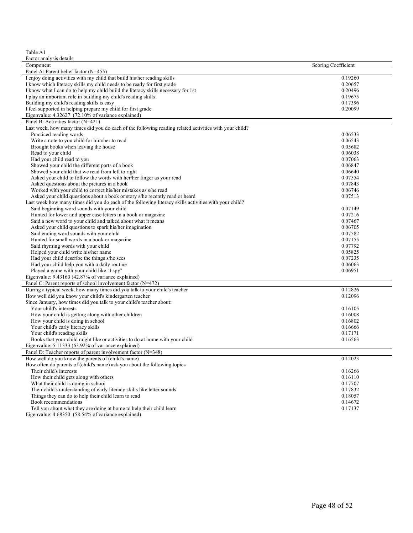Table A1

Factor analysis details

| I actor anaryois actains<br>Component                                                                                                                                                 | Scoring Coefficient |
|---------------------------------------------------------------------------------------------------------------------------------------------------------------------------------------|---------------------|
| Panel A: Parent belief factor (N=455)                                                                                                                                                 |                     |
| I enjoy doing activities with my child that build his/her reading skills                                                                                                              | 0.19260             |
| I know which literacy skills my child needs to be ready for first grade                                                                                                               | 0.20657             |
| I know what I can do to help my child build the literacy skills necessary for 1st                                                                                                     | 0.20496             |
| I play an important role in building my child's reading skills                                                                                                                        | 0.19675             |
| Building my child's reading skills is easy                                                                                                                                            | 0.17396             |
| I feel supported in helping prepare my child for first grade                                                                                                                          | 0.20099             |
| Eigenvalue: 4.32627 (72.10% of variance explained)                                                                                                                                    |                     |
| Panel B: Activities factor (N=421)                                                                                                                                                    |                     |
| Last week, how many times did you do each of the following reading related activities with your child?                                                                                |                     |
| Practiced reading words                                                                                                                                                               | 0.06533             |
| Write a note to you child for him/her to read                                                                                                                                         | 0.06543             |
| Brought books when leaving the house                                                                                                                                                  | 0.05682             |
| Read to your child                                                                                                                                                                    | 0.06038             |
| Had your child read to you                                                                                                                                                            | 0.07063             |
| Showed your child the different parts of a book                                                                                                                                       | 0.06847             |
| Showed your child that we read from left to right                                                                                                                                     | 0.06640             |
| Asked your child to follow the words with her/her finger as your read                                                                                                                 | 0.07554             |
| Asked questions about the pictures in a book                                                                                                                                          | 0.07843             |
| Worked with your child to correct his/her mistakes as s/he read                                                                                                                       | 0.06746<br>0.07513  |
| Asked your child questions about a book or story s/he recently read or heard<br>Last week how many times did you do each of the following literacy skills activities with your child? |                     |
| Said beginning word sounds with your child                                                                                                                                            | 0.07149             |
| Hunted for lower and upper case letters in a book or magazine                                                                                                                         | 0.07216             |
| Said a new word to your child and talked about what it means                                                                                                                          | 0.07467             |
| Asked your child questions to spark his/her imagination                                                                                                                               | 0.06705             |
| Said ending word sounds with your child                                                                                                                                               | 0.07582             |
| Hunted for small words in a book or magazine                                                                                                                                          | 0.07155             |
| Said rhyming words with your child                                                                                                                                                    | 0.07792             |
| Helped your child write his/her name                                                                                                                                                  | 0.05825             |
| Had your child describe the things s/he sees                                                                                                                                          | 0.07235             |
| Had your child help you with a daily routine                                                                                                                                          | 0.06063             |
| Played a game with your child like "I spy"                                                                                                                                            | 0.06951             |
| Eigenvalue: 9.43160 (42.87% of variance explained)                                                                                                                                    |                     |
| Panel C: Parent reports of school involvement factor (N=472)                                                                                                                          |                     |
| During a typical week, how many times did you talk to your child's teacher                                                                                                            | 0.12826             |
| How well did you know your child's kindergarten teacher                                                                                                                               | 0.12096             |
| Since January, how times did you talk to your child's teacher about:                                                                                                                  |                     |
| Your child's interests                                                                                                                                                                | 0.16105             |
| How your child is getting along with other children                                                                                                                                   | 0.16008             |
| How your child is doing in school                                                                                                                                                     | 0.16802             |
| Your child's early literacy skills                                                                                                                                                    | 0.16666             |
| Your child's reading skills                                                                                                                                                           | 0.17171             |
| Books that your child might like or activities to do at home with your child<br>Eigenvalue: 5.11333 (63.92% of variance explained)                                                    | 0.16563             |
| Panel D: Teacher reports of parent involvement factor (N=348)                                                                                                                         |                     |
| How well do you know the parents of (child's name)                                                                                                                                    | 0.12023             |
| How often do parents of (child's name) ask you about the following topics                                                                                                             |                     |
| Their child's interests                                                                                                                                                               | 0.16266             |
| How their child gets along with others                                                                                                                                                | 0.16110             |
| What their child is doing in school                                                                                                                                                   | 0.17707             |
| Their child's understanding of early literacy skills like letter sounds                                                                                                               | 0.17832             |
| Things they can do to help their child learn to read                                                                                                                                  | 0.18057             |
| Book recommendations                                                                                                                                                                  | 0.14672             |
| Tell you about what they are doing at home to help their child learn                                                                                                                  | 0.17137             |
| Eigenvalue: 4.68350 (58.54% of variance explained)                                                                                                                                    |                     |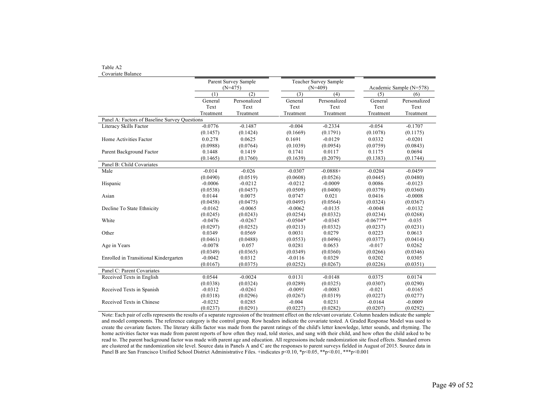#### Table A2 Covariate Balance

|                                               | Parent Survey Sample<br>$(N=475)$ |              |            | Teacher Survey Sample<br>$(N=409)$ | Academic Sample (N=578) |              |  |
|-----------------------------------------------|-----------------------------------|--------------|------------|------------------------------------|-------------------------|--------------|--|
|                                               | (1)                               | (2)          | (3)        | (4)                                | (5)                     | (6)          |  |
|                                               | General                           | Personalized | General    | Personalized                       | General                 | Personalized |  |
|                                               | Text                              | Text         | Text       | Text                               | Text                    | Text         |  |
|                                               | Treatment                         | Treatment    | Treatment  | Treatment                          | Treatment               | Treatment    |  |
| Panel A: Factors of Baseline Survey Ouestions |                                   |              |            |                                    |                         |              |  |
| Literacy Skills Factor                        | $-0.0776$                         | $-0.1487$    | $-0.004$   | $-0.2334$                          | $-0.054$                | $-0.1707$    |  |
|                                               | (0.1457)                          | (0.1424)     | (0.1669)   | (0.1791)                           | (0.1078)                | (0.1175)     |  |
| Home Activities Factor                        | 0.0.278                           | 0.0625       | 0.1691     | $-0.0129$                          | 0.0332                  | $-0.0201$    |  |
|                                               | (0.0988)                          | (0.0764)     | (0.1039)   | (0.0954)                           | (0.0759)                | (0.0843)     |  |
| Parent Background Factor                      | 0.1448                            | 0.1419       | 0.1741     | 0.0117                             | 0.1175                  | 0.0694       |  |
|                                               | (0.1465)                          | (0.1760)     | (0.1639)   | (0.2079)                           | (0.1383)                | (0.1744)     |  |
| Panel B: Child Covariates                     |                                   |              |            |                                    |                         |              |  |
| Male                                          | $-0.014$                          | $-0.026$     | $-0.0307$  | $-0.0888+$                         | $-0.0204$               | $-0.0459$    |  |
|                                               | (0.0490)                          | (0.0519)     | (0.0608)   | (0.0526)                           | (0.0445)                | (0.0480)     |  |
| Hispanic                                      | $-0.0006$                         | $-0.0212$    | $-0.0212$  | $-0.0009$                          | 0.0086                  | $-0.0123$    |  |
|                                               | (0.0538)                          | (0.0457)     | (0.0509)   | (0.0400)                           | (0.0379)                | (0.0360)     |  |
| Asian                                         | 0.0144                            | 0.0075       | 0.0747     | 0.021                              | 0.0416                  | $-0.0008$    |  |
|                                               | (0.0458)                          | (0.0475)     | (0.0495)   | (0.0564)                           | (0.0324)                | (0.0367)     |  |
| Decline To State Ethnicity                    | $-0.0162$                         | $-0.0065$    | $-0.0062$  | $-0.0135$                          | $-0.0048$               | $-0.0132$    |  |
|                                               | (0.0245)                          | (0.0243)     | (0.0254)   | (0.0332)                           | (0.0234)                | (0.0268)     |  |
| White                                         | $-0.0476$                         | $-0.0267$    | $-0.0504*$ | $-0.0345$                          | $-0.0677**$             | $-0.035$     |  |
|                                               | (0.0297)                          | (0.0252)     | (0.0213)   | (0.0332)                           | (0.0237)                | (0.0231)     |  |
| Other                                         | 0.0349                            | 0.0569       | 0.0031     | 0.0279                             | 0.0223                  | 0.0613       |  |
|                                               | (0.0461)                          | (0.0488)     | (0.0553)   | (0.0496)                           | (0.0377)                | (0.0414)     |  |
| Age in Years                                  | $-0.0078$                         | 0.057        | 0.0281     | 0.0653                             | $-0.017$                | 0.0262       |  |
|                                               | (0.0349)                          | (0.0365)     | (0.0349)   | (0.0360)                           | (0.0266)                | (0.0346)     |  |
| Enrolled in Transitional Kindergarten         | $-0.0042$                         | 0.0312       | $-0.0116$  | 0.0329                             | 0.0202                  | 0.0305       |  |
|                                               | (0.0167)                          | (0.0375)     | (0.0252)   | (0.0267)                           | (0.0226)                | (0.0351)     |  |
| Panel C: Parent Covariates                    |                                   |              |            |                                    |                         |              |  |
| Received Texts in English                     | 0.0544                            | $-0.0024$    | 0.0131     | $-0.0148$                          | 0.0375                  | 0.0174       |  |
|                                               | (0.0338)                          | (0.0324)     | (0.0289)   | (0.0325)                           | (0.0307)                | (0.0290)     |  |
| Received Texts in Spanish                     | $-0.0312$                         | $-0.0261$    | $-0.0091$  | $-0.0083$                          | $-0.021$                | $-0.0165$    |  |
|                                               | (0.0318)                          | (0.0296)     | (0.0267)   | (0.0319)                           | (0.0227)                | (0.0277)     |  |
| Received Texts in Chinese                     | $-0.0232$                         | 0.0285       | $-0.004$   | 0.0231                             | $-0.0164$               | $-0.0009$    |  |
|                                               | (0.0237)                          | (0.0291)     | (0.0227)   | (0.0282)                           | (0.0207)                | (0.0292)     |  |

Note: Each pair of cells represents the results of a separate regression of the treatment effect on the relevant covariate. Column headers indicate the sample and model components. The reference category is the control group. Row headers indicate the covariate tested. A Graded Response Model was used to create the covariate factors. The literary skills factor was made from the parent ratings of the child's letter knowledge, letter sounds, and rhyming. The home activities factor was made from parent reports of how often they read, told stories, and sang with their child, and how often the child asked to be read to. The parent background factor was made with parent age and education. All regressions include randomization site fixed effects. Standard errors are clustered at the randomization site level. Source data in Panels A and C are the responses to parent surveys fielded in August of 2015. Source data in Panel B are San Francisco Unified School District Administrative Files. +indicates p<0.10, \*p<0.05, \*\*p<0.01, \*\*\*p<0.001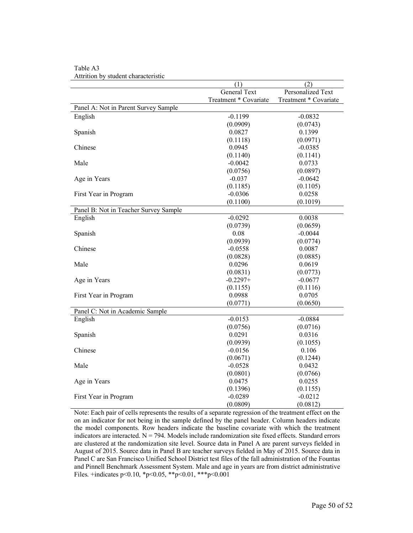| <b>General Text</b><br><b>Personalized Text</b><br>Treatment * Covariate<br>Treatment * Covariate<br>Panel A: Not in Parent Survey Sample<br>$-0.1199$<br>English<br>$-0.0832$<br>(0.0909)<br>(0.0743)<br>Spanish<br>0.0827<br>0.1399<br>(0.1118)<br>(0.0971)<br>Chinese<br>0.0945<br>$-0.0385$<br>(0.1140)<br>(0.1141)<br>Male<br>$-0.0042$<br>0.0733<br>(0.0756)<br>(0.0897)<br>Age in Years<br>$-0.037$<br>$-0.0642$<br>(0.1185)<br>(0.1105)<br>$-0.0306$<br>0.0258<br>First Year in Program<br>(0.1100)<br>(0.1019)<br>Panel B: Not in Teacher Survey Sample<br>English<br>$-0.0292$<br>0.0038<br>(0.0739)<br>(0.0659)<br>Spanish<br>0.08<br>$-0.0044$<br>(0.0939)<br>(0.0774)<br>Chinese<br>$-0.0558$<br>0.0087<br>(0.0828)<br>(0.0885)<br>Male<br>0.0296<br>0.0619 |
|--------------------------------------------------------------------------------------------------------------------------------------------------------------------------------------------------------------------------------------------------------------------------------------------------------------------------------------------------------------------------------------------------------------------------------------------------------------------------------------------------------------------------------------------------------------------------------------------------------------------------------------------------------------------------------------------------------------------------------------------------------------------------|
|                                                                                                                                                                                                                                                                                                                                                                                                                                                                                                                                                                                                                                                                                                                                                                          |
|                                                                                                                                                                                                                                                                                                                                                                                                                                                                                                                                                                                                                                                                                                                                                                          |
|                                                                                                                                                                                                                                                                                                                                                                                                                                                                                                                                                                                                                                                                                                                                                                          |
|                                                                                                                                                                                                                                                                                                                                                                                                                                                                                                                                                                                                                                                                                                                                                                          |
|                                                                                                                                                                                                                                                                                                                                                                                                                                                                                                                                                                                                                                                                                                                                                                          |
|                                                                                                                                                                                                                                                                                                                                                                                                                                                                                                                                                                                                                                                                                                                                                                          |
|                                                                                                                                                                                                                                                                                                                                                                                                                                                                                                                                                                                                                                                                                                                                                                          |
|                                                                                                                                                                                                                                                                                                                                                                                                                                                                                                                                                                                                                                                                                                                                                                          |
|                                                                                                                                                                                                                                                                                                                                                                                                                                                                                                                                                                                                                                                                                                                                                                          |
|                                                                                                                                                                                                                                                                                                                                                                                                                                                                                                                                                                                                                                                                                                                                                                          |
|                                                                                                                                                                                                                                                                                                                                                                                                                                                                                                                                                                                                                                                                                                                                                                          |
|                                                                                                                                                                                                                                                                                                                                                                                                                                                                                                                                                                                                                                                                                                                                                                          |
|                                                                                                                                                                                                                                                                                                                                                                                                                                                                                                                                                                                                                                                                                                                                                                          |
|                                                                                                                                                                                                                                                                                                                                                                                                                                                                                                                                                                                                                                                                                                                                                                          |
|                                                                                                                                                                                                                                                                                                                                                                                                                                                                                                                                                                                                                                                                                                                                                                          |
|                                                                                                                                                                                                                                                                                                                                                                                                                                                                                                                                                                                                                                                                                                                                                                          |
|                                                                                                                                                                                                                                                                                                                                                                                                                                                                                                                                                                                                                                                                                                                                                                          |
|                                                                                                                                                                                                                                                                                                                                                                                                                                                                                                                                                                                                                                                                                                                                                                          |
|                                                                                                                                                                                                                                                                                                                                                                                                                                                                                                                                                                                                                                                                                                                                                                          |
|                                                                                                                                                                                                                                                                                                                                                                                                                                                                                                                                                                                                                                                                                                                                                                          |
|                                                                                                                                                                                                                                                                                                                                                                                                                                                                                                                                                                                                                                                                                                                                                                          |
|                                                                                                                                                                                                                                                                                                                                                                                                                                                                                                                                                                                                                                                                                                                                                                          |
|                                                                                                                                                                                                                                                                                                                                                                                                                                                                                                                                                                                                                                                                                                                                                                          |
| (0.0831)<br>(0.0773)                                                                                                                                                                                                                                                                                                                                                                                                                                                                                                                                                                                                                                                                                                                                                     |
| $-0.2297+$<br>$-0.0677$<br>Age in Years                                                                                                                                                                                                                                                                                                                                                                                                                                                                                                                                                                                                                                                                                                                                  |
| (0.1155)<br>(0.1116)                                                                                                                                                                                                                                                                                                                                                                                                                                                                                                                                                                                                                                                                                                                                                     |
| First Year in Program<br>0.0988<br>0.0705                                                                                                                                                                                                                                                                                                                                                                                                                                                                                                                                                                                                                                                                                                                                |
| (0.0771)<br>(0.0650)                                                                                                                                                                                                                                                                                                                                                                                                                                                                                                                                                                                                                                                                                                                                                     |
| Panel C: Not in Academic Sample                                                                                                                                                                                                                                                                                                                                                                                                                                                                                                                                                                                                                                                                                                                                          |
| English<br>$-0.0153$<br>$-0.0884$                                                                                                                                                                                                                                                                                                                                                                                                                                                                                                                                                                                                                                                                                                                                        |
| (0.0756)<br>(0.0716)                                                                                                                                                                                                                                                                                                                                                                                                                                                                                                                                                                                                                                                                                                                                                     |
| Spanish<br>0.0291<br>0.0316                                                                                                                                                                                                                                                                                                                                                                                                                                                                                                                                                                                                                                                                                                                                              |
| (0.0939)<br>(0.1055)                                                                                                                                                                                                                                                                                                                                                                                                                                                                                                                                                                                                                                                                                                                                                     |
| Chinese<br>$-0.0156$<br>0.106                                                                                                                                                                                                                                                                                                                                                                                                                                                                                                                                                                                                                                                                                                                                            |
| (0.0671)<br>(0.1244)                                                                                                                                                                                                                                                                                                                                                                                                                                                                                                                                                                                                                                                                                                                                                     |
| Male<br>$-0.0528$<br>0.0432                                                                                                                                                                                                                                                                                                                                                                                                                                                                                                                                                                                                                                                                                                                                              |
| (0.0801)<br>(0.0766)                                                                                                                                                                                                                                                                                                                                                                                                                                                                                                                                                                                                                                                                                                                                                     |
| 0.0475<br>0.0255<br>Age in Years                                                                                                                                                                                                                                                                                                                                                                                                                                                                                                                                                                                                                                                                                                                                         |
| (0.1396)<br>(0.1155)                                                                                                                                                                                                                                                                                                                                                                                                                                                                                                                                                                                                                                                                                                                                                     |
| $-0.0212$<br>First Year in Program<br>$-0.0289$                                                                                                                                                                                                                                                                                                                                                                                                                                                                                                                                                                                                                                                                                                                          |
| (0.0809)<br>(0.0812)                                                                                                                                                                                                                                                                                                                                                                                                                                                                                                                                                                                                                                                                                                                                                     |

Table A3 Attrition by student characteristic

Note: Each pair of cells represents the results of a separate regression of the treatment effect on the on an indicator for not being in the sample defined by the panel header. Column headers indicate the model components. Row headers indicate the baseline covariate with which the treatment indicators are interacted.  $N = 794$ . Models include randomization site fixed effects. Standard errors are clustered at the randomization site level. Source data in Panel A are parent surveys fielded in August of 2015. Source data in Panel B are teacher surveys fielded in May of 2015. Source data in Panel C are San Francisco Unified School District test files of the fall administration of the Fountas and Pinnell Benchmark Assessment System. Male and age in years are from district administrative Files. +indicates p<0.10, \*p<0.05, \*\*p<0.01, \*\*\*p<0.001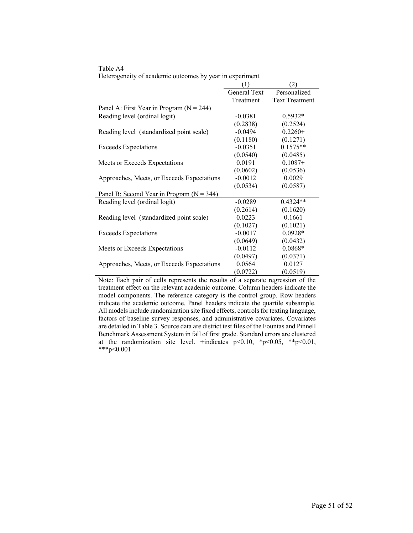|                                               | (1)          | (2)                   |
|-----------------------------------------------|--------------|-----------------------|
|                                               | General Text | Personalized          |
|                                               | Treatment    | <b>Text Treatment</b> |
| Panel A: First Year in Program ( $N = 244$ )  |              |                       |
| Reading level (ordinal logit)                 | $-0.0381$    | $0.5932*$             |
|                                               | (0.2838)     | (0.2524)              |
| Reading level (standardized point scale)      | $-0.0494$    | $0.2260+$             |
|                                               | (0.1180)     | (0.1271)              |
| <b>Exceeds Expectations</b>                   | $-0.0351$    | $0.1575**$            |
|                                               | (0.0540)     | (0.0485)              |
| Meets or Exceeds Expectations                 | 0.0191       | $0.1087+$             |
|                                               | (0.0602)     | (0.0536)              |
| Approaches, Meets, or Exceeds Expectations    | $-0.0012$    | 0.0029                |
|                                               | (0.0534)     | (0.0587)              |
| Panel B: Second Year in Program ( $N = 344$ ) |              |                       |
| Reading level (ordinal logit)                 | $-0.0289$    | $0.4324**$            |
|                                               | (0.2614)     | (0.1620)              |
| Reading level (standardized point scale)      | 0.0223       | 0.1661                |
|                                               | (0.1027)     | (0.1021)              |
| <b>Exceeds Expectations</b>                   | $-0.0017$    | $0.0928*$             |
|                                               | (0.0649)     | (0.0432)              |
| Meets or Exceeds Expectations                 | $-0.0112$    | 0.0868*               |
|                                               | (0.0497)     | (0.0371)              |
| Approaches, Meets, or Exceeds Expectations    | 0.0564       | 0.0127                |
|                                               | (0.0722)     | (0.0519)              |

| Table A4                                                 |  |
|----------------------------------------------------------|--|
| Heterogeneity of academic outcomes by year in experiment |  |

Note: Each pair of cells represents the results of a separate regression of the treatment effect on the relevant academic outcome. Column headers indicate the model components. The reference category is the control group. Row headers indicate the academic outcome. Panel headers indicate the quartile subsample. All models include randomization site fixed effects, controls for texting language, factors of baseline survey responses, and administrative covariates. Covariates are detailed in Table 3. Source data are district test files of the Fountas and Pinnell Benchmark Assessment System in fall of first grade. Standard errors are clustered at the randomization site level. +indicates  $p<0.10$ , \* $p<0.05$ , \*\* $p<0.01$ , \*\*\*p<0.001